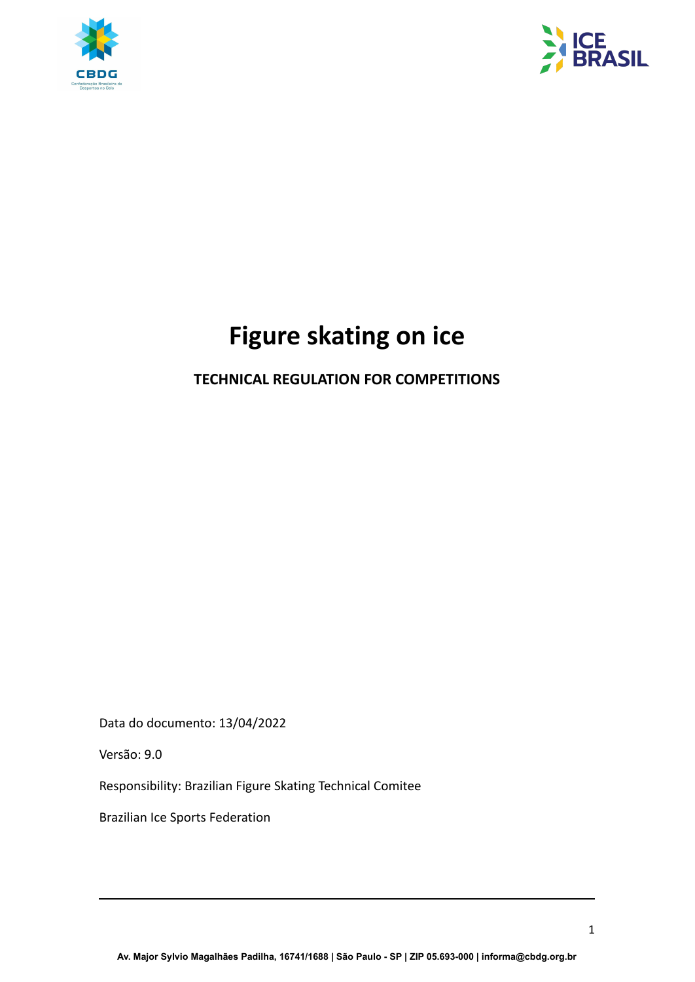



# **Figure skating on ice**

# **TECHNICAL REGULATION FOR COMPETITIONS**

Data do documento: 13/04/2022

Versão: 9.0

Responsibility: Brazilian Figure Skating Technical Comitee

Brazilian Ice Sports Federation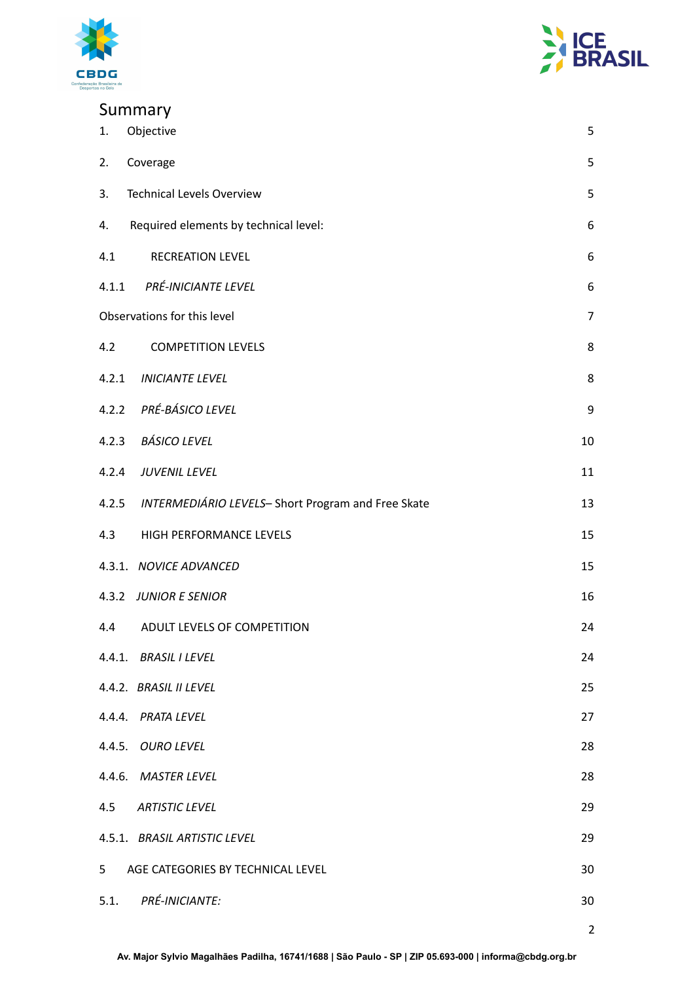



# Summary

| Objective<br>1.                                         | 5              |  |  |  |
|---------------------------------------------------------|----------------|--|--|--|
| 2.<br>Coverage                                          | 5              |  |  |  |
| <b>Technical Levels Overview</b><br>3.                  | 5              |  |  |  |
| Required elements by technical level:<br>4.             | 6              |  |  |  |
| <b>RECREATION LEVEL</b><br>4.1                          | 6              |  |  |  |
| 4.1.1 PRÉ-INICIANTE LEVEL                               | 6              |  |  |  |
| Observations for this level<br>$\overline{7}$           |                |  |  |  |
| 4.2<br><b>COMPETITION LEVELS</b>                        | 8              |  |  |  |
| 4.2.1 INICIANTE LEVEL                                   | 8              |  |  |  |
| 4.2.2 PRÉ-BÁSICO LEVEL                                  | 9              |  |  |  |
| 4.2.3 BÁSICO LEVEL                                      | 10             |  |  |  |
| 4.2.4 JUVENIL LEVEL                                     | 11             |  |  |  |
| 4.2.5 INTERMEDIÁRIO LEVELS-Short Program and Free Skate | 13             |  |  |  |
| HIGH PERFORMANCE LEVELS<br>4.3                          | 15             |  |  |  |
| 4.3.1. NOVICE ADVANCED                                  | 15             |  |  |  |
| 4.3.2 JUNIOR E SENIOR                                   | 16             |  |  |  |
| ADULT LEVELS OF COMPETITION<br>4.4                      | 24             |  |  |  |
| 4.4.1. BRASIL I LEVEL                                   | 24             |  |  |  |
| 4.4.2. BRASIL II LEVEL                                  | 25             |  |  |  |
| 4.4.4. PRATA LEVEL                                      | 27             |  |  |  |
| 4.4.5. OURO LEVEL                                       | 28             |  |  |  |
| 4.4.6. MASTER LEVEL                                     | 28             |  |  |  |
| 4.5<br><b>ARTISTIC LEVEL</b>                            | 29             |  |  |  |
| 4.5.1. BRASIL ARTISTIC LEVEL                            | 29             |  |  |  |
| 5<br>AGE CATEGORIES BY TECHNICAL LEVEL                  | 30             |  |  |  |
| <b>PRÉ-INICIANTE:</b><br>5.1.                           | 30             |  |  |  |
|                                                         | $\overline{2}$ |  |  |  |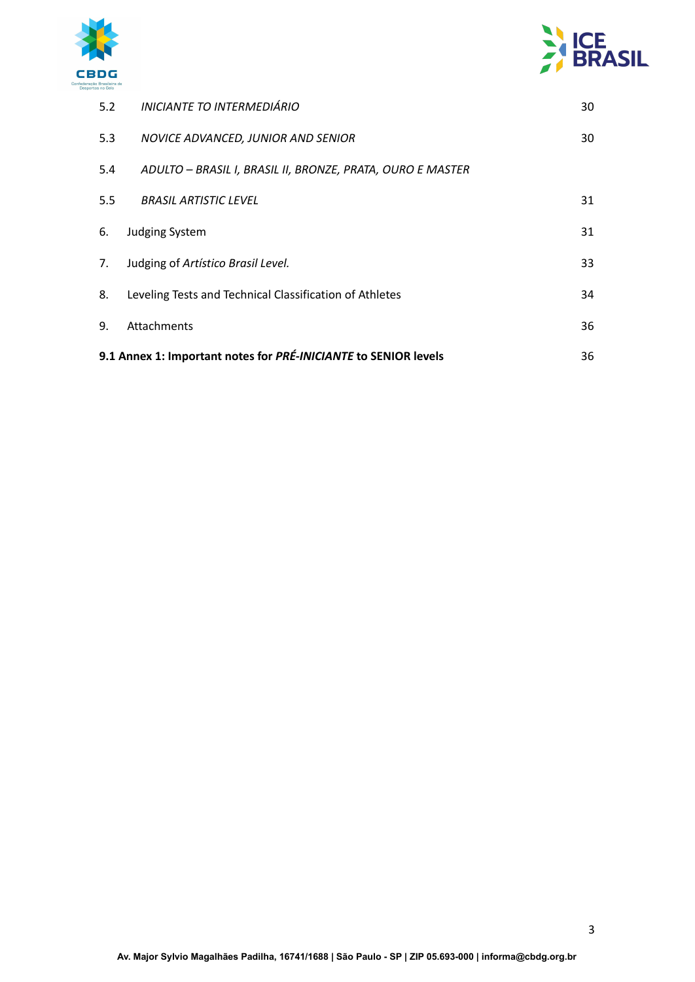



| 5.2                                                             | INICIANTE TO INTERMEDIÁRIO                                 | 30 |
|-----------------------------------------------------------------|------------------------------------------------------------|----|
| 5.3                                                             | NOVICE ADVANCED, JUNIOR AND SENIOR                         | 30 |
| 5.4                                                             | ADULTO - BRASIL I, BRASIL II, BRONZE, PRATA, OURO E MASTER |    |
| 5.5                                                             | <b>BRASIL ARTISTIC LEVEL</b>                               | 31 |
| 6.                                                              | <b>Judging System</b>                                      | 31 |
| 7.                                                              | Judging of Artístico Brasil Level.                         | 33 |
| 8.                                                              | Leveling Tests and Technical Classification of Athletes    | 34 |
| 9.                                                              | Attachments                                                | 36 |
| 9.1 Annex 1: Important notes for PRÉ-INICIANTE to SENIOR levels |                                                            |    |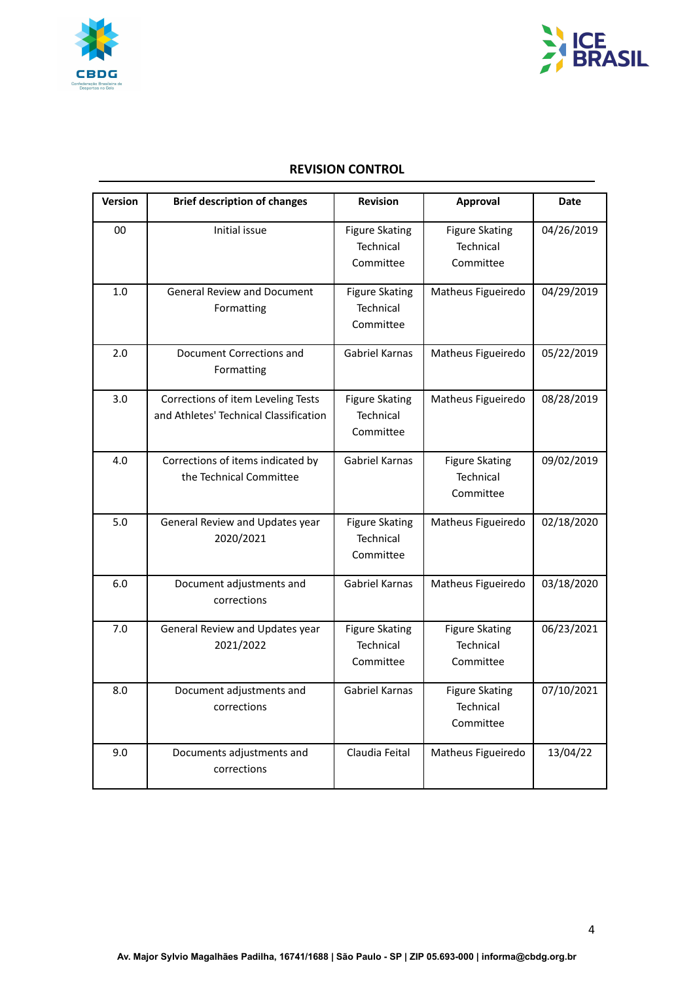



## **REVISION CONTROL**

| <b>Version</b> | <b>Brief description of changes</b>                                          | <b>Revision</b>                                 | Approval                                        | <b>Date</b> |
|----------------|------------------------------------------------------------------------------|-------------------------------------------------|-------------------------------------------------|-------------|
| 00             | Initial issue                                                                | <b>Figure Skating</b><br>Technical<br>Committee | <b>Figure Skating</b><br>Technical<br>Committee | 04/26/2019  |
| 1.0            | <b>General Review and Document</b><br>Formatting                             | <b>Figure Skating</b><br>Technical<br>Committee | Matheus Figueiredo                              | 04/29/2019  |
| 2.0            | Document Corrections and<br>Formatting                                       | <b>Gabriel Karnas</b>                           | Matheus Figueiredo                              | 05/22/2019  |
| 3.0            | Corrections of item Leveling Tests<br>and Athletes' Technical Classification | <b>Figure Skating</b><br>Technical<br>Committee | Matheus Figueiredo                              | 08/28/2019  |
| 4.0            | Corrections of items indicated by<br>the Technical Committee                 | Gabriel Karnas                                  | <b>Figure Skating</b><br>Technical<br>Committee | 09/02/2019  |
| 5.0            | General Review and Updates year<br>2020/2021                                 | <b>Figure Skating</b><br>Technical<br>Committee | Matheus Figueiredo                              | 02/18/2020  |
| 6.0            | Document adjustments and<br>corrections                                      | Gabriel Karnas                                  | Matheus Figueiredo                              | 03/18/2020  |
| 7.0            | General Review and Updates year<br>2021/2022                                 | <b>Figure Skating</b><br>Technical<br>Committee | <b>Figure Skating</b><br>Technical<br>Committee | 06/23/2021  |
| 8.0            | Document adjustments and<br>corrections                                      | Gabriel Karnas                                  | <b>Figure Skating</b><br>Technical<br>Committee | 07/10/2021  |
| 9.0            | Documents adjustments and<br>corrections                                     | Claudia Feital                                  | Matheus Figueiredo                              | 13/04/22    |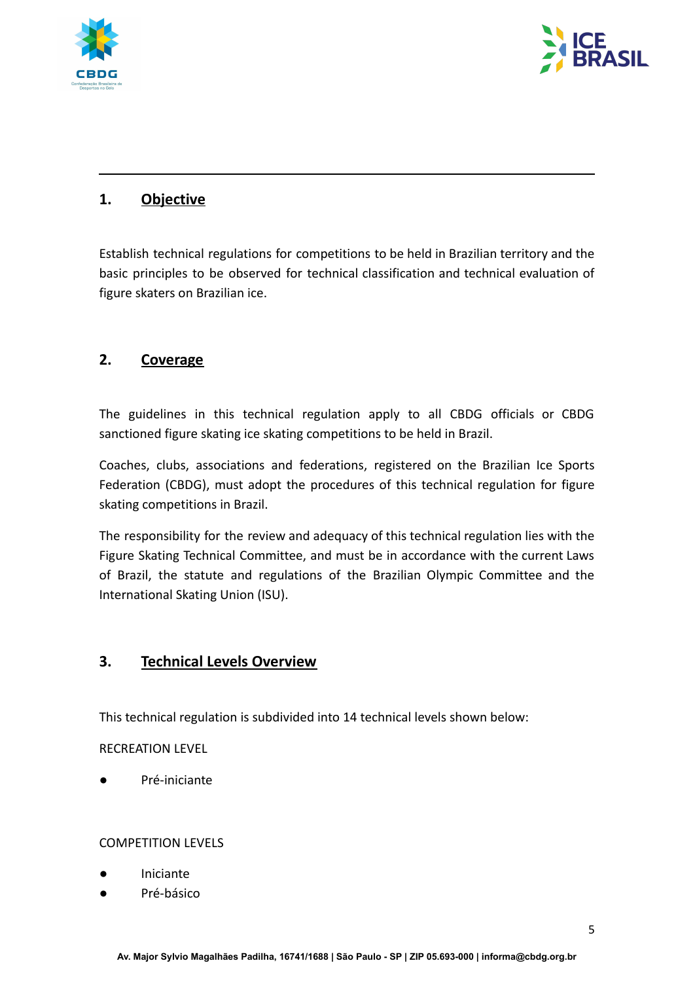



# <span id="page-4-0"></span>**1. Objective**

Establish technical regulations for competitions to be held in Brazilian territory and the basic principles to be observed for technical classification and technical evaluation of figure skaters on Brazilian ice.

# <span id="page-4-1"></span>**2. Coverage**

The guidelines in this technical regulation apply to all CBDG officials or CBDG sanctioned figure skating ice skating competitions to be held in Brazil.

Coaches, clubs, associations and federations, registered on the Brazilian Ice Sports Federation (CBDG), must adopt the procedures of this technical regulation for figure skating competitions in Brazil.

The responsibility for the review and adequacy of this technical regulation lies with the Figure Skating Technical Committee, and must be in accordance with the current Laws of Brazil, the statute and regulations of the Brazilian Olympic Committee and the International Skating Union (ISU).

## <span id="page-4-2"></span>**3. Technical Levels Overview**

This technical regulation is subdivided into 14 technical levels shown below:

RECREATION LEVEL

● Pré-iniciante

#### COMPETITION LEVELS

- **Iniciante**
- Pré-básico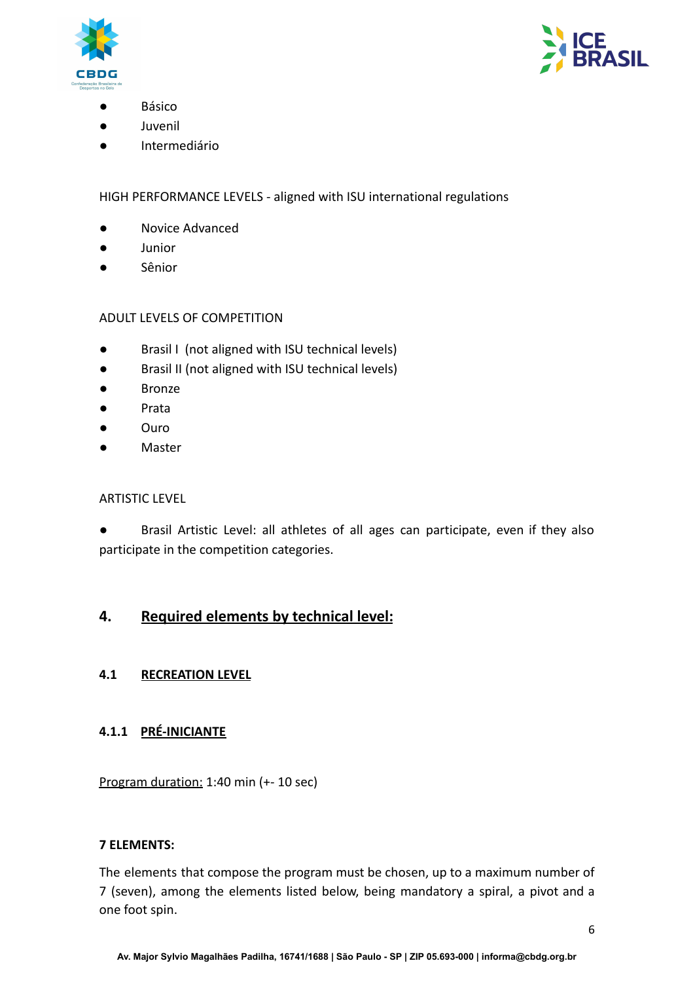



- **Básico**
- Juvenil
- Intermediário

## HIGH PERFORMANCE LEVELS - aligned with ISU international regulations

- Novice Advanced
- Junior
- Sênior

#### ADULT LEVELS OF COMPETITION

- Brasil I (not aligned with ISU technical levels)
- Brasil II (not aligned with ISU technical levels)
- Bronze
- Prata
- Ouro
- Master

#### ARTISTIC LEVEL

Brasil Artistic Level: all athletes of all ages can participate, even if they also participate in the competition categories.

## <span id="page-5-1"></span><span id="page-5-0"></span>**4. Required elements by technical level:**

#### **4.1 RECREATION LEVEL**

#### **4.1.1 PRÉ-INICIANTE**

Program duration: 1:40 min (+- 10 sec)

#### **7 ELEMENTS:**

The elements that compose the program must be chosen, up to a maximum number of 7 (seven), among the elements listed below, being mandatory a spiral, a pivot and a one foot spin.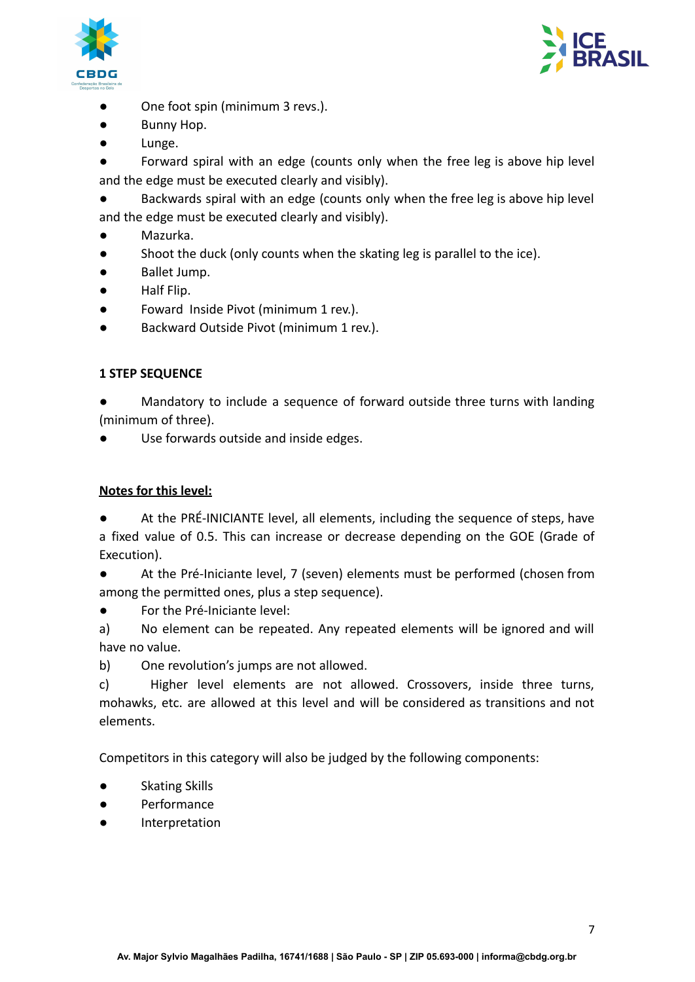



- One foot spin (minimum 3 revs.).
- Bunny Hop.
- Lunge.

Forward spiral with an edge (counts only when the free leg is above hip level and the edge must be executed clearly and visibly).

Backwards spiral with an edge (counts only when the free leg is above hip level and the edge must be executed clearly and visibly).

- Mazurka.
- Shoot the duck (only counts when the skating leg is parallel to the ice).
- Ballet Jump.
- Half Flip.
- Foward Inside Pivot (minimum 1 rev.).
- Backward Outside Pivot (minimum 1 rev.).

## **1 STEP SEQUENCE**

Mandatory to include a sequence of forward outside three turns with landing (minimum of three).

Use forwards outside and inside edges.

## **Notes for this level:**

At the PRÉ-INICIANTE level, all elements, including the sequence of steps, have a fixed value of 0.5. This can increase or decrease depending on the GOE (Grade of Execution).

● At the Pré-Iniciante level, 7 (seven) elements must be performed (chosen from among the permitted ones, plus a step sequence).

● For the Pré-Iniciante level:

a) No element can be repeated. Any repeated elements will be ignored and will have no value.

b) One revolution's jumps are not allowed.

c) Higher level elements are not allowed. Crossovers, inside three turns, mohawks, etc. are allowed at this level and will be considered as transitions and not elements.

Competitors in this category will also be judged by the following components:

- Skating Skills
- Performance
- Interpretation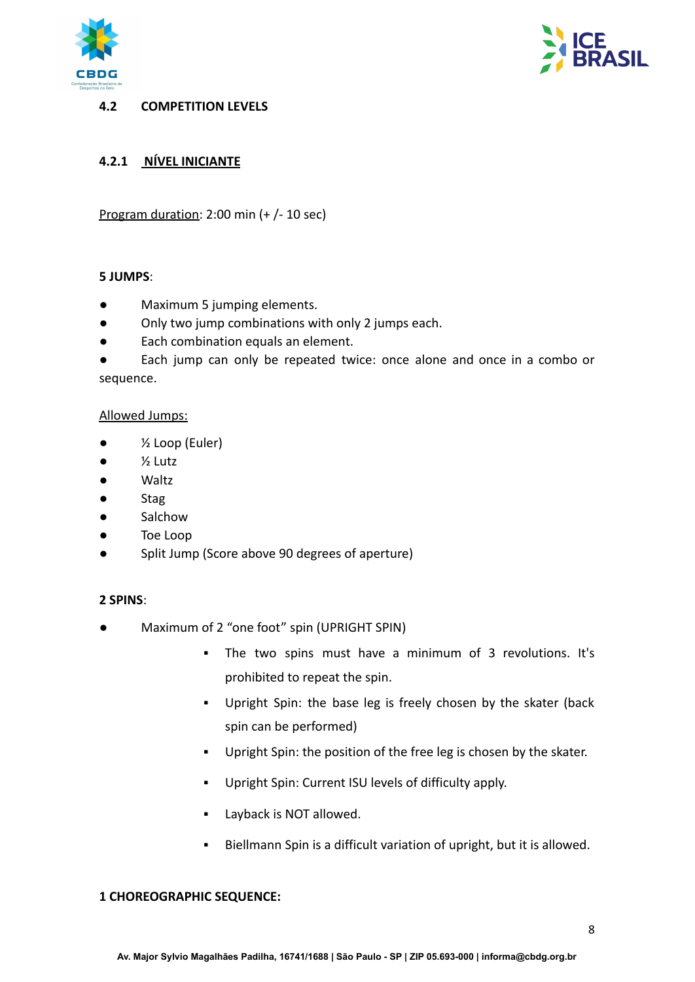



#### <span id="page-7-0"></span>**4.2 COMPETITION LEVELS**

## <span id="page-7-1"></span>**4.2.1 NÍVEL INICIANTE**

Program duration: 2:00 min (+ /- 10 sec)

#### **5 JUMPS**:

- Maximum 5 jumping elements.
- Only two jump combinations with only 2 jumps each.
- Each combination equals an element.

Each jump can only be repeated twice: once alone and once in a combo or sequence.

#### Allowed Jumps:

- $\bullet$   $\frac{1}{2}$  Loop (Euler)
- $\bullet$   $\frac{1}{2}$  Lutz
- Waltz
- Stag
- Salchow
- Toe Loop
- Split Jump (Score above 90 degrees of aperture)

#### **2 SPINS**:

- Maximum of 2 "one foot" spin (UPRIGHT SPIN)
	- The two spins must have a minimum of 3 revolutions. It's prohibited to repeat the spin.
	- Upright Spin: the base leg is freely chosen by the skater (back spin can be performed)
	- Upright Spin: the position of the free leg is chosen by the skater.
	- Upright Spin: Current ISU levels of difficulty apply.
	- **E** Layback is NOT allowed.
	- Biellmann Spin is a difficult variation of upright, but it is allowed.

#### **1 CHOREOGRAPHIC SEQUENCE:**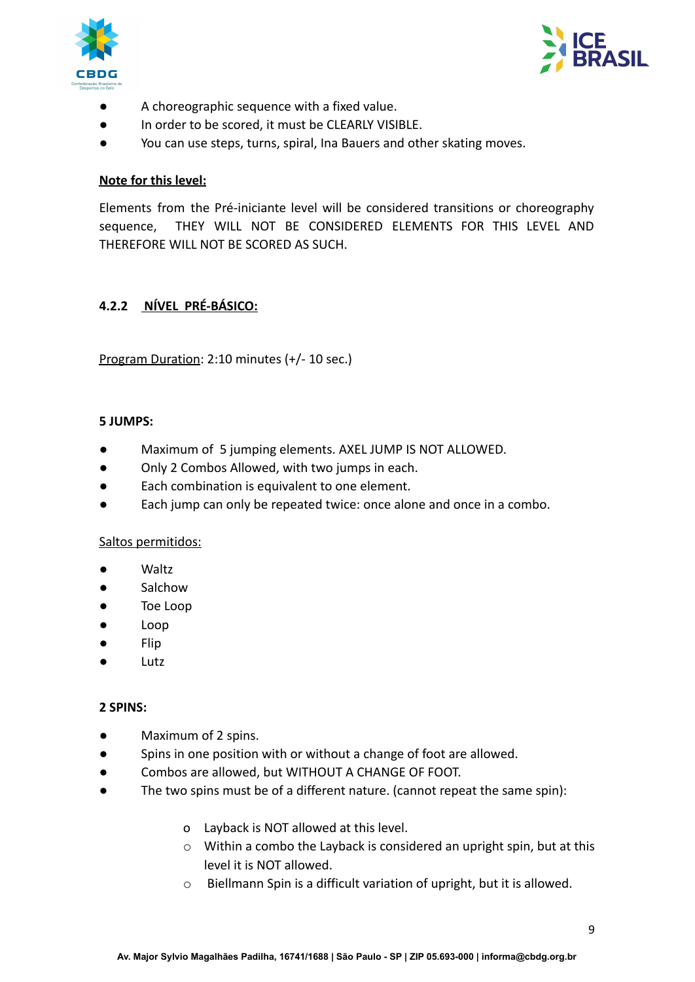



- A choreographic sequence with a fixed value.
- In order to be scored, it must be CLEARLY VISIBLE.
- You can use steps, turns, spiral, Ina Bauers and other skating moves.

#### **Note for this level:**

Elements from the Pré-iniciante level will be considered transitions or choreography sequence, THEY WILL NOT BE CONSIDERED ELEMENTS FOR THIS LEVEL AND THEREFORE WILL NOT BE SCORED AS SUCH.

## <span id="page-8-0"></span>**4.2.2 NÍVEL PRÉ-BÁSICO:**

Program Duration: 2:10 minutes (+/- 10 sec.)

#### **5 JUMPS:**

- Maximum of 5 jumping elements. AXEL JUMP IS NOT ALLOWED.
- Only 2 Combos Allowed, with two jumps in each.
- Each combination is equivalent to one element.
- Each jump can only be repeated twice: once alone and once in a combo.

#### Saltos permitidos:

- Waltz
- Salchow
- Toe Loop
- Loop
- Flip
- Lutz

#### **2 SPINS:**

- Maximum of 2 spins.
- Spins in one position with or without a change of foot are allowed.
- Combos are allowed, but WITHOUT A CHANGE OF FOOT.
- The two spins must be of a different nature. (cannot repeat the same spin):
	- o Layback is NOT allowed at this level.
	- o Within a combo the Layback is considered an upright spin, but at this level it is NOT allowed.
	- o Biellmann Spin is a difficult variation of upright, but it is allowed.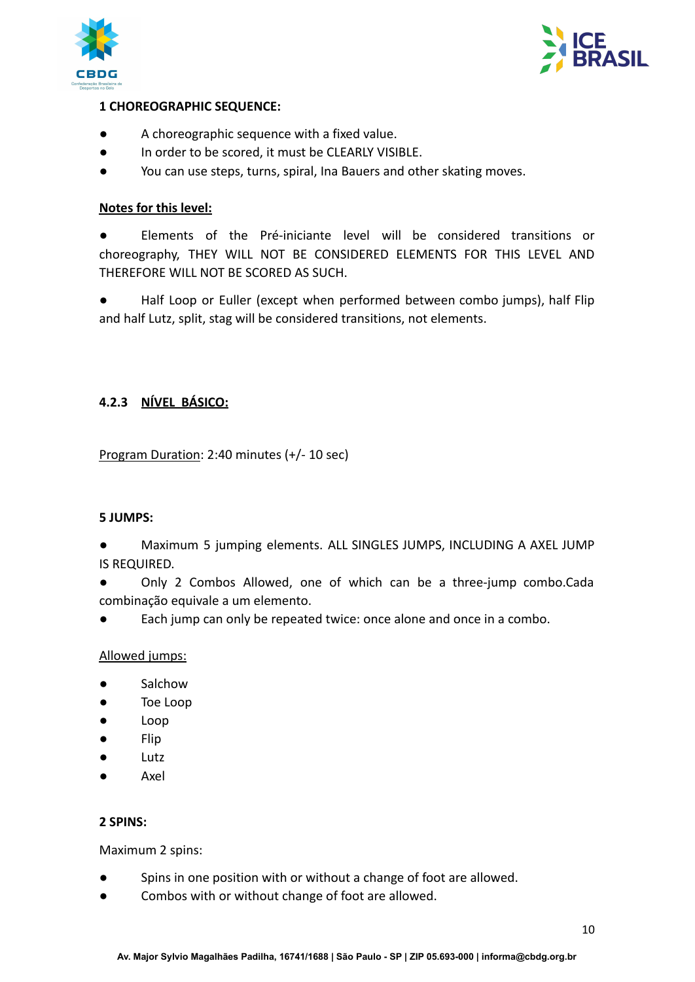



## **1 CHOREOGRAPHIC SEQUENCE:**

- A choreographic sequence with a fixed value.
- In order to be scored, it must be CLEARLY VISIBLE.
- You can use steps, turns, spiral, Ina Bauers and other skating moves.

#### **Notes for this level:**

● Elements of the Pré-iniciante level will be considered transitions or choreography, THEY WILL NOT BE CONSIDERED ELEMENTS FOR THIS LEVEL AND THEREFORE WILL NOT BE SCORED AS SUCH.

● Half Loop or Euller (except when performed between combo jumps), half Flip and half Lutz, split, stag will be considered transitions, not elements.

## <span id="page-9-0"></span>**4.2.3 NÍVEL BÁSICO:**

Program Duration: 2:40 minutes (+/- 10 sec)

#### **5 JUMPS:**

● Maximum 5 jumping elements. ALL SINGLES JUMPS, INCLUDING A AXEL JUMP IS REQUIRED.

Only 2 Combos Allowed, one of which can be a three-jump combo.Cada combinação equivale a um elemento.

Each jump can only be repeated twice: once alone and once in a combo.

#### Allowed jumps:

- **Salchow**
- Toe Loop
- Loop
- Flip
- Lutz
- Axel

#### **2 SPINS:**

Maximum 2 spins:

- Spins in one position with or without a change of foot are allowed.
- Combos with or without change of foot are allowed.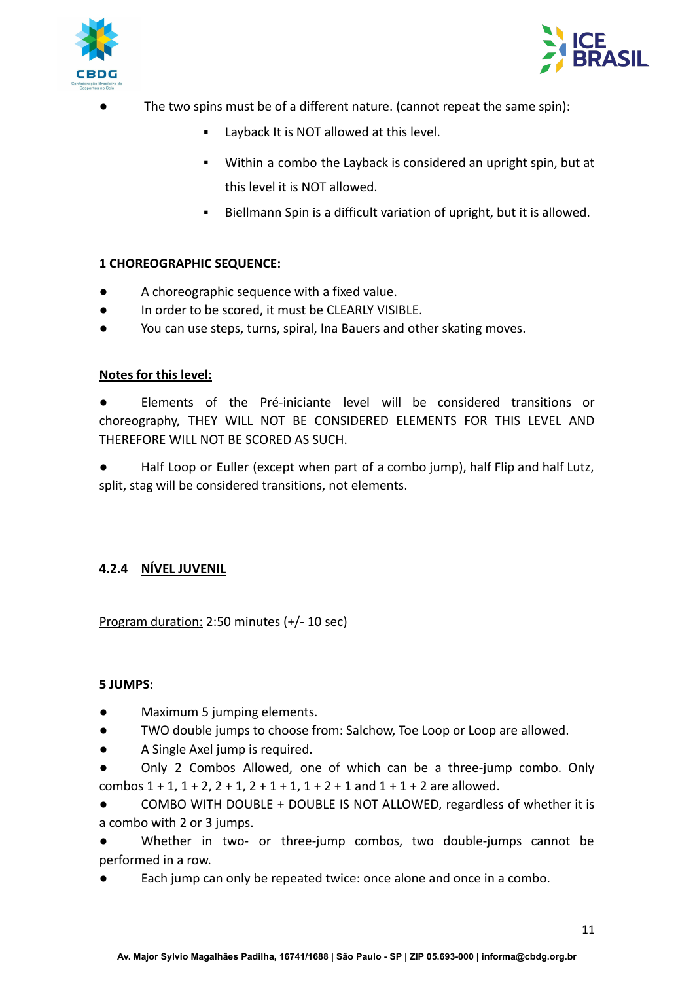



- The two spins must be of a different nature. (cannot repeat the same spin):
	- Layback It is NOT allowed at this level.
	- Within a combo the Layback is considered an upright spin, but at this level it is NOT allowed.
	- Biellmann Spin is a difficult variation of upright, but it is allowed.

## **1 CHOREOGRAPHIC SEQUENCE:**

- A choreographic sequence with a fixed value.
- In order to be scored, it must be CLEARLY VISIBLE.
- You can use steps, turns, spiral, Ina Bauers and other skating moves.

#### **Notes for this level:**

Elements of the Pré-iniciante level will be considered transitions or choreography, THEY WILL NOT BE CONSIDERED ELEMENTS FOR THIS LEVEL AND THEREFORE WILL NOT BE SCORED AS SUCH.

Half Loop or Euller (except when part of a combo jump), half Flip and half Lutz, split, stag will be considered transitions, not elements.

## <span id="page-10-0"></span>**4.2.4 NÍVEL JUVENIL**

Program duration: 2:50 minutes (+/- 10 sec)

#### **5 JUMPS:**

- Maximum 5 jumping elements.
- TWO double jumps to choose from: Salchow, Toe Loop or Loop are allowed.
- A Single Axel jump is required.
- Only 2 Combos Allowed, one of which can be a three-jump combo. Only combos  $1 + 1$ ,  $1 + 2$ ,  $2 + 1$ ,  $2 + 1 + 1$ ,  $1 + 2 + 1$  and  $1 + 1 + 2$  are allowed.

COMBO WITH DOUBLE + DOUBLE IS NOT ALLOWED, regardless of whether it is a combo with 2 or 3 jumps.

Whether in two- or three-jump combos, two double-jumps cannot be performed in a row.

Each jump can only be repeated twice: once alone and once in a combo.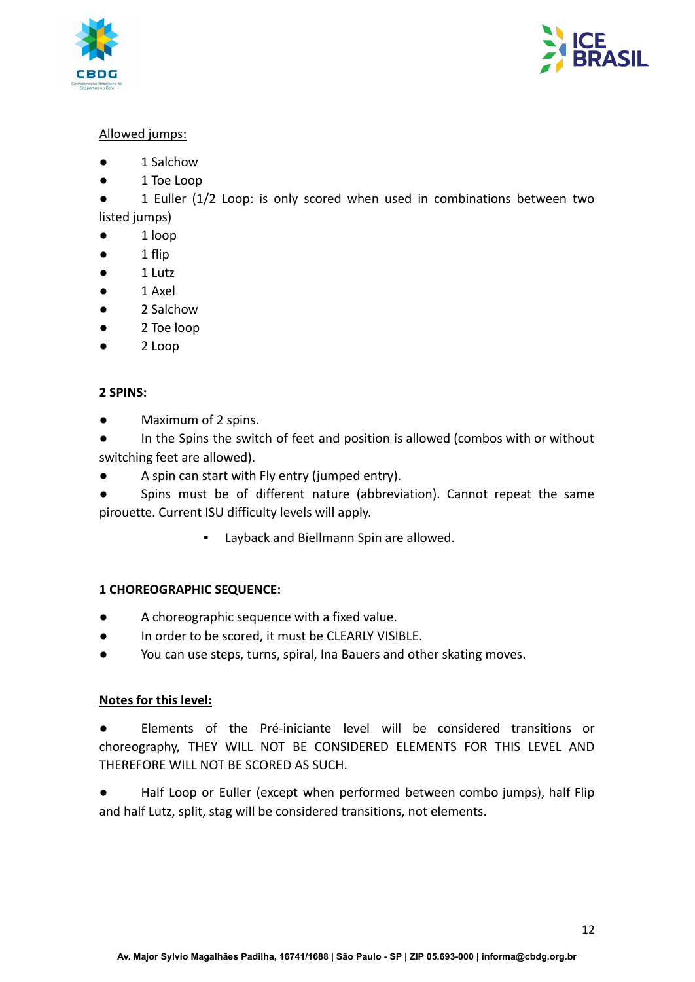



## Allowed jumps:

- 1 Salchow
- 1 Toe Loop

● 1 Euller (1/2 Loop: is only scored when used in combinations between two listed jumps)

- 1 loop
- $\bullet$  1 flip
- 1 Lutz
- 1 Axel
- 2 Salchow
- 2 Toe loop
- 2 Loop

## **2 SPINS:**

● Maximum of 2 spins.

● In the Spins the switch of feet and position is allowed (combos with or without switching feet are allowed).

A spin can start with Fly entry (jumped entry).

Spins must be of different nature (abbreviation). Cannot repeat the same pirouette. Current ISU difficulty levels will apply.

▪ Layback and Biellmann Spin are allowed.

## **1 CHOREOGRAPHIC SEQUENCE:**

- A choreographic sequence with a fixed value.
- In order to be scored, it must be CLEARLY VISIBLE.
- You can use steps, turns, spiral, Ina Bauers and other skating moves.

#### **Notes for this level:**

Elements of the Pré-iniciante level will be considered transitions or choreography, THEY WILL NOT BE CONSIDERED ELEMENTS FOR THIS LEVEL AND THEREFORE WILL NOT BE SCORED AS SUCH.

<span id="page-11-0"></span>Half Loop or Euller (except when performed between combo jumps), half Flip and half Lutz, split, stag will be considered transitions, not elements.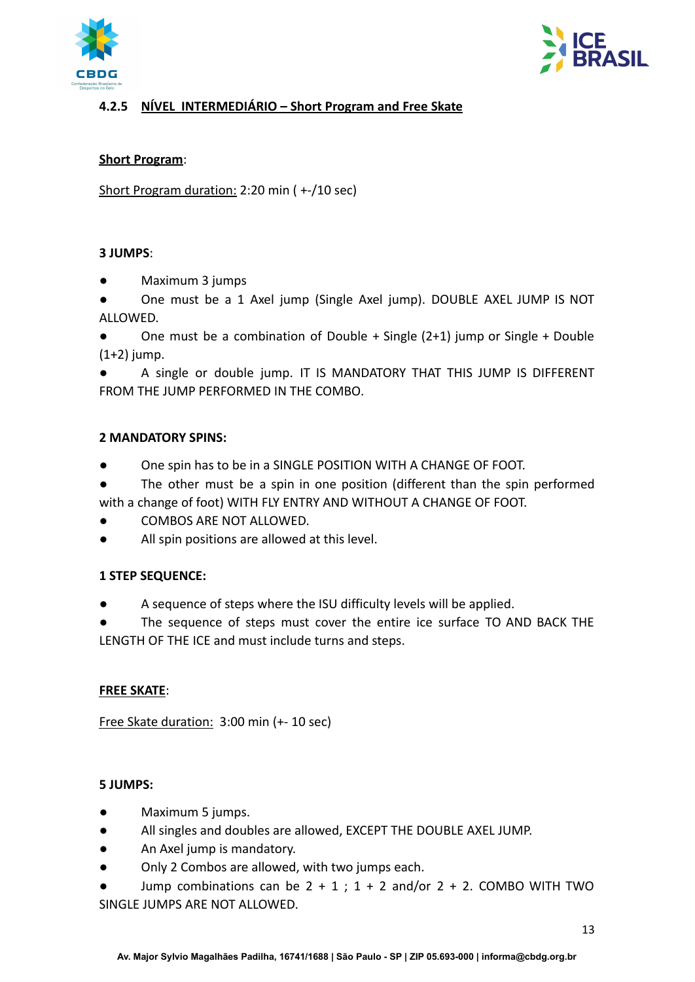



## **4.2.5 NÍVEL INTERMEDIÁRIO – Short Program and Free Skate**

#### **Short Program**:

Short Program duration: 2:20 min ( +-/10 sec)

#### **3 JUMPS**:

- Maximum 3 jumps
- One must be a 1 Axel jump (Single Axel jump). DOUBLE AXEL JUMP IS NOT ALLOWED.
- One must be a combination of Double + Single  $(2+1)$  jump or Single + Double  $(1+2)$  jump.

A single or double jump. IT IS MANDATORY THAT THIS JUMP IS DIFFERENT FROM THE JUMP PERFORMED IN THE COMBO.

## **2 MANDATORY SPINS:**

- One spin has to be in a SINGLE POSITION WITH A CHANGE OF FOOT.
- The other must be a spin in one position (different than the spin performed with a change of foot) WITH FLY ENTRY AND WITHOUT A CHANGE OF FOOT.
- COMBOS ARE NOT ALLOWED.
- All spin positions are allowed at this level.

## **1 STEP SEQUENCE:**

- A sequence of steps where the ISU difficulty levels will be applied.
- The sequence of steps must cover the entire ice surface TO AND BACK THE LENGTH OF THE ICE and must include turns and steps.

## **FREE SKATE**:

Free Skate duration: 3:00 min (+- 10 sec)

#### **5 JUMPS:**

- Maximum 5 jumps.
- All singles and doubles are allowed, EXCEPT THE DOUBLE AXEL JUMP.
- An Axel jump is mandatory.
- Only 2 Combos are allowed, with two jumps each.
- Jump combinations can be  $2 + 1$ ; 1 + 2 and/or 2 + 2. COMBO WITH TWO SINGLE JUMPS ARE NOT ALLOWED.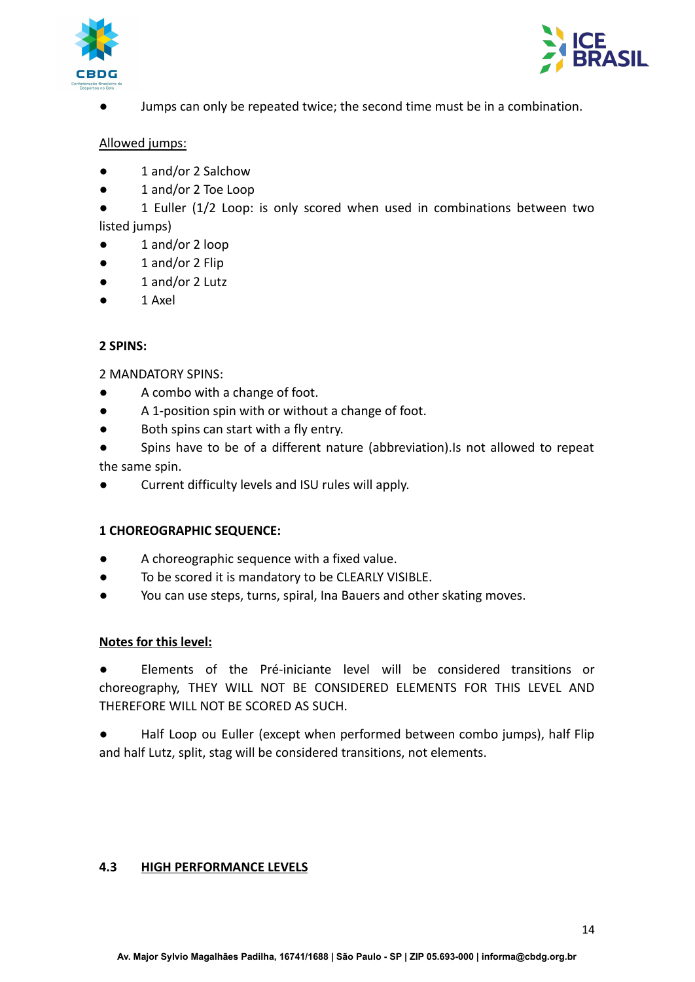



Jumps can only be repeated twice; the second time must be in a combination.

#### Allowed jumps:

- 1 and/or 2 Salchow
- 1 and/or 2 Toe Loop
- 1 Euller (1/2 Loop: is only scored when used in combinations between two listed jumps)
- 1 and/or 2 loop
- 1 and/or 2 Flip
- 1 and/or 2 Lutz
- 1 Axel

#### **2 SPINS:**

2 MANDATORY SPINS:

- A combo with a change of foot.
- A 1-position spin with or without a change of foot.
- Both spins can start with a fly entry.
- Spins have to be of a different nature (abbreviation).Is not allowed to repeat

the same spin.

Current difficulty levels and ISU rules will apply.

#### **1 CHOREOGRAPHIC SEQUENCE:**

- A choreographic sequence with a fixed value.
- To be scored it is mandatory to be CLEARLY VISIBLE.
- You can use steps, turns, spiral, Ina Bauers and other skating moves.

#### **Notes for this level:**

Elements of the Pré-iniciante level will be considered transitions or choreography, THEY WILL NOT BE CONSIDERED ELEMENTS FOR THIS LEVEL AND THEREFORE WILL NOT BE SCORED AS SUCH.

Half Loop ou Euller (except when performed between combo jumps), half Flip and half Lutz, split, stag will be considered transitions, not elements.

#### <span id="page-13-1"></span><span id="page-13-0"></span>**4.3 HIGH PERFORMANCE LEVELS**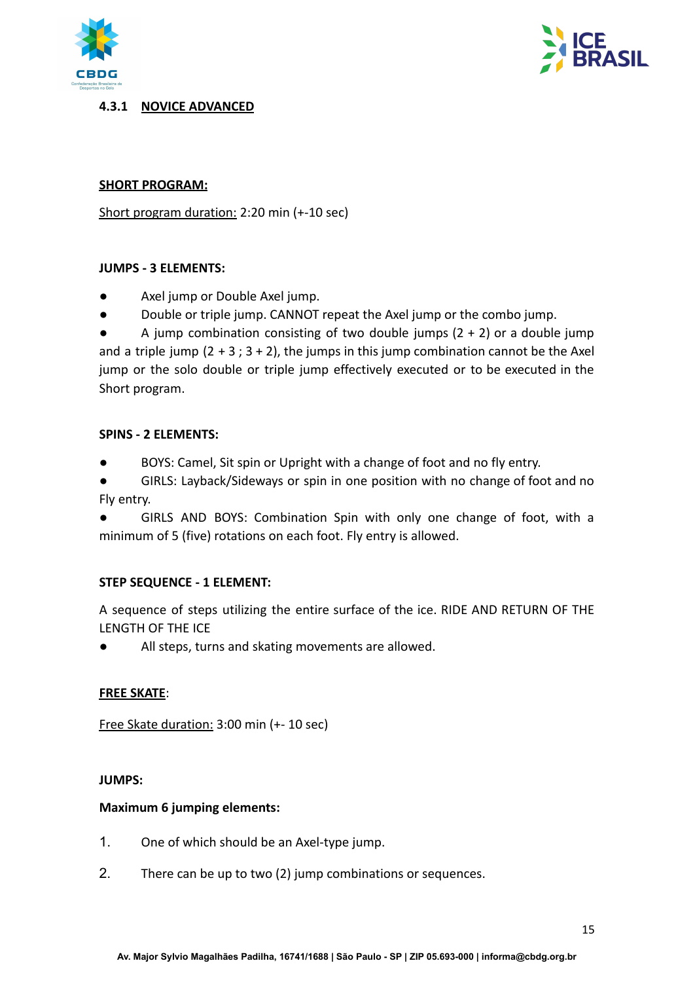



#### **4.3.1 NOVICE ADVANCED**

#### **SHORT PROGRAM:**

Short program duration: 2:20 min (+-10 sec)

#### **JUMPS - 3 ELEMENTS:**

- Axel jump or Double Axel jump.
- Double or triple jump. CANNOT repeat the Axel jump or the combo jump.

A jump combination consisting of two double jumps  $(2 + 2)$  or a double jump and a triple jump  $(2 + 3; 3 + 2)$ , the jumps in this jump combination cannot be the Axel jump or the solo double or triple jump effectively executed or to be executed in the Short program.

#### **SPINS - 2 ELEMENTS:**

BOYS: Camel, Sit spin or Upright with a change of foot and no fly entry.

● GIRLS: Layback/Sideways or spin in one position with no change of foot and no Fly entry.

GIRLS AND BOYS: Combination Spin with only one change of foot, with a minimum of 5 (five) rotations on each foot. Fly entry is allowed.

#### **STEP SEQUENCE - 1 ELEMENT:**

A sequence of steps utilizing the entire surface of the ice. RIDE AND RETURN OF THE LENGTH OF THE ICE

All steps, turns and skating movements are allowed.

#### **FREE SKATE**:

Free Skate duration: 3:00 min (+- 10 sec)

#### **JUMPS:**

#### **Maximum 6 jumping elements:**

- 1. One of which should be an Axel-type jump.
- 2. There can be up to two (2) jump combinations or sequences.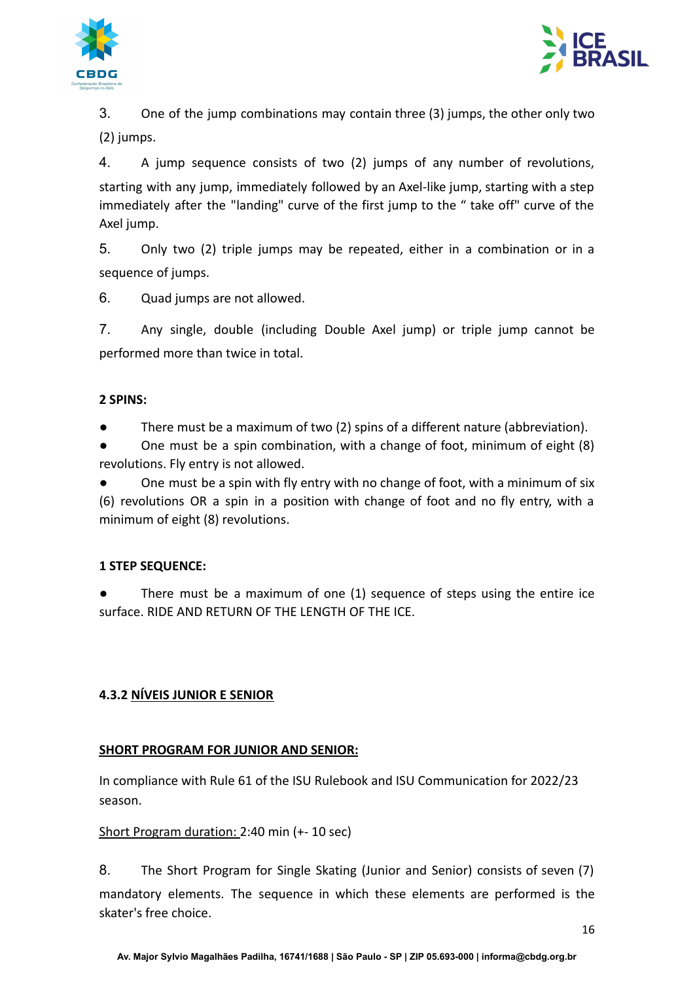



3. One of the jump combinations may contain three (3) jumps, the other only two (2) jumps.

4. A jump sequence consists of two (2) jumps of any number of revolutions, starting with any jump, immediately followed by an Axel-like jump, starting with a step immediately after the "landing" curve of the first jump to the " take off" curve of the Axel jump.

5. Only two (2) triple jumps may be repeated, either in a combination or in a sequence of jumps.

6. Quad jumps are not allowed.

7. Any single, double (including Double Axel jump) or triple jump cannot be performed more than twice in total.

## **2 SPINS:**

There must be a maximum of two (2) spins of a different nature (abbreviation).

One must be a spin combination, with a change of foot, minimum of eight (8) revolutions. Fly entry is not allowed.

One must be a spin with fly entry with no change of foot, with a minimum of six (6) revolutions OR a spin in a position with change of foot and no fly entry, with a minimum of eight (8) revolutions.

## **1 STEP SEQUENCE:**

There must be a maximum of one  $(1)$  sequence of steps using the entire ice surface. RIDE AND RETURN OF THE LENGTH OF THE ICE.

## <span id="page-15-0"></span>**4.3.2 NÍVEIS JUNIOR E SENIOR**

## **SHORT PROGRAM FOR JUNIOR AND SENIOR:**

In compliance with Rule 61 of the ISU Rulebook and ISU Communication for 2022/23 season.

#### Short Program duration: 2:40 min (+- 10 sec)

8. The Short Program for Single Skating (Junior and Senior) consists of seven (7) mandatory elements. The sequence in which these elements are performed is the skater's free choice.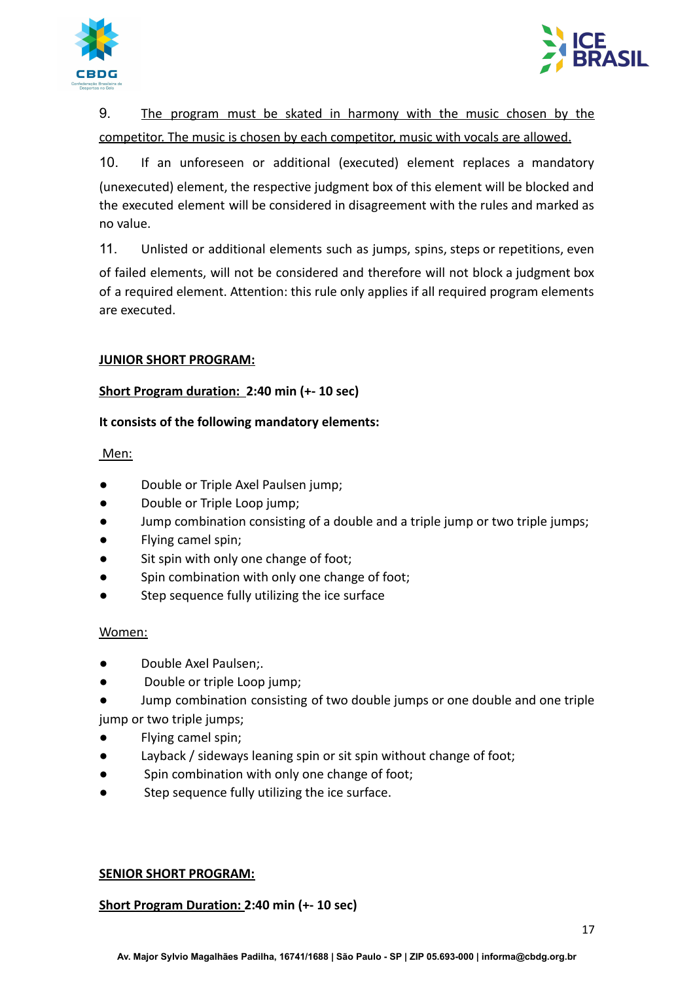



9. The program must be skated in harmony with the music chosen by the competitor. The music is chosen by each competitor, music with vocals are allowed.

10. If an unforeseen or additional (executed) element replaces a mandatory (unexecuted) element, the respective judgment box of this element will be blocked and the executed element will be considered in disagreement with the rules and marked as no value.

11. Unlisted or additional elements such as jumps, spins, steps or repetitions, even of failed elements, will not be considered and therefore will not block a judgment box of a required element. Attention: this rule only applies if all required program elements are executed.

## **JUNIOR SHORT PROGRAM:**

## **Short Program duration: 2:40 min (+- 10 sec)**

## **It consists of the following mandatory elements:**

Men:

- Double or Triple Axel Paulsen jump;
- Double or Triple Loop jump;
- Jump combination consisting of a double and a triple jump or two triple jumps;
- Flying camel spin;
- Sit spin with only one change of foot;
- Spin combination with only one change of foot;
- Step sequence fully utilizing the ice surface

## Women:

- Double Axel Paulsen;.
- Double or triple Loop jump;
- Jump combination consisting of two double jumps or one double and one triple jump or two triple jumps;
- Flying camel spin;
- Layback / sideways leaning spin or sit spin without change of foot;
- Spin combination with only one change of foot;
- Step sequence fully utilizing the ice surface.

## **SENIOR SHORT PROGRAM:**

## **Short Program Duration: 2:40 min (+- 10 sec)**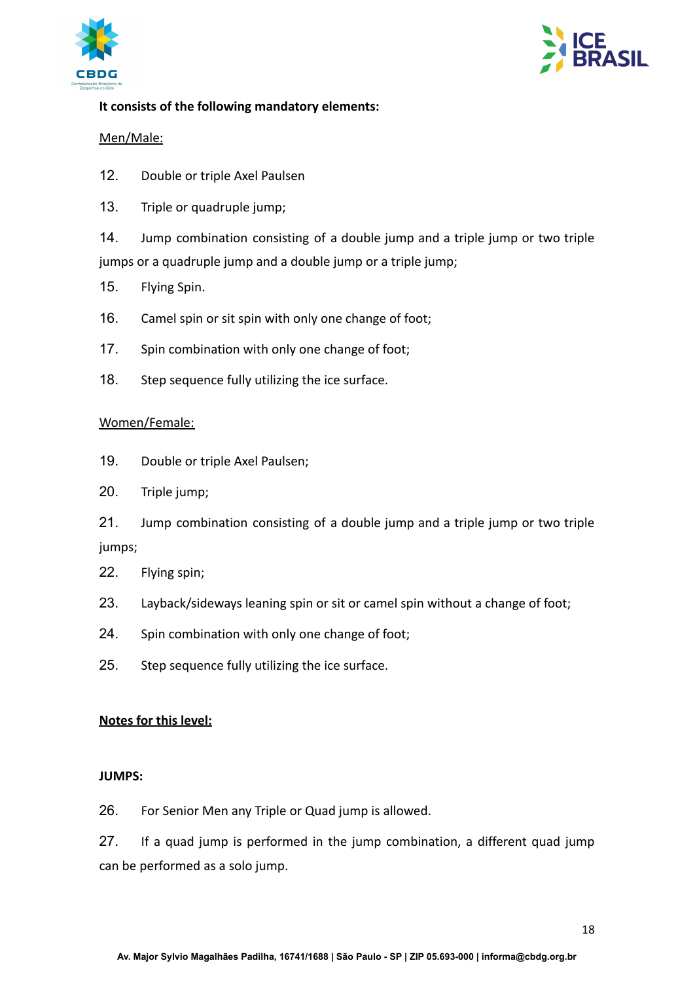



## **It consists of the following mandatory elements:**

## Men/Male:

- 12. Double or triple Axel Paulsen
- 13. Triple or quadruple jump;

14. Jump combination consisting of a double jump and a triple jump or two triple jumps or a quadruple jump and a double jump or a triple jump;

- 15. Flying Spin.
- 16. Camel spin or sit spin with only one change of foot;
- 17. Spin combination with only one change of foot;
- 18. Step sequence fully utilizing the ice surface.

#### Women/Female:

- 19. Double or triple Axel Paulsen;
- 20. Triple jump;

21. Jump combination consisting of a double jump and a triple jump or two triple jumps;

- 22. Flying spin;
- 23. Layback/sideways leaning spin or sit or camel spin without a change of foot;
- 24. Spin combination with only one change of foot;
- 25. Step sequence fully utilizing the ice surface.

#### **Notes for this level:**

#### **JUMPS:**

26. For Senior Men any Triple or Quad jump is allowed.

27. If a quad jump is performed in the jump combination, a different quad jump can be performed as a solo jump.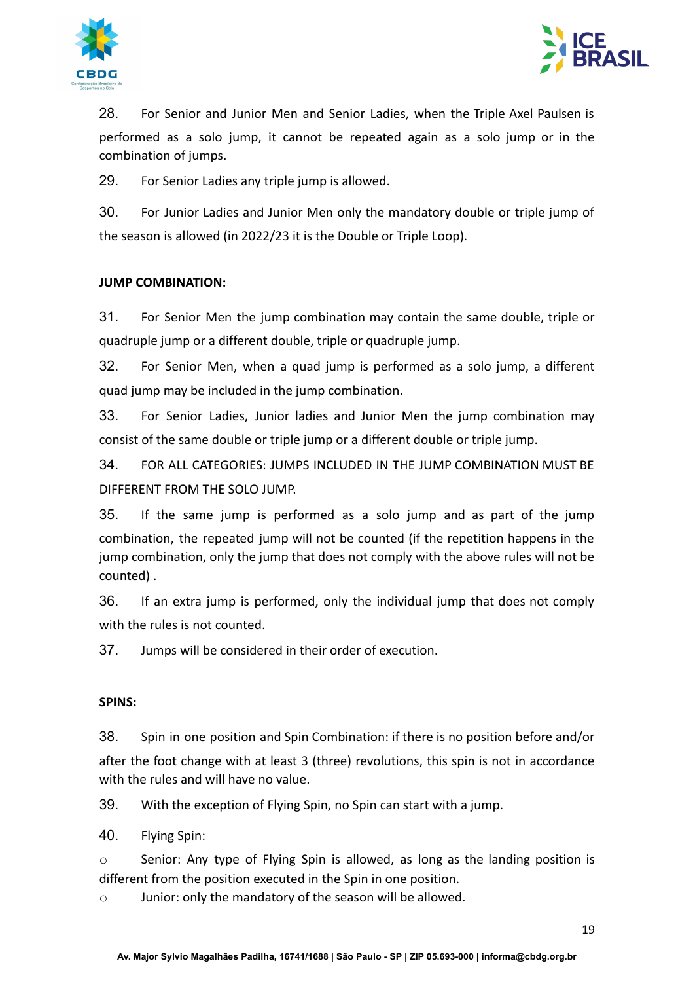



28. For Senior and Junior Men and Senior Ladies, when the Triple Axel Paulsen is performed as a solo jump, it cannot be repeated again as a solo jump or in the combination of jumps.

29. For Senior Ladies any triple jump is allowed.

30. For Junior Ladies and Junior Men only the mandatory double or triple jump of the season is allowed (in 2022/23 it is the Double or Triple Loop).

## **JUMP COMBINATION:**

31. For Senior Men the jump combination may contain the same double, triple or quadruple jump or a different double, triple or quadruple jump.

32. For Senior Men, when a quad jump is performed as a solo jump, a different quad jump may be included in the jump combination.

33. For Senior Ladies, Junior ladies and Junior Men the jump combination may consist of the same double or triple jump or a different double or triple jump.

34. FOR ALL CATEGORIES: JUMPS INCLUDED IN THE JUMP COMBINATION MUST BE DIFFERENT FROM THE SOLO JUMP.

35. If the same jump is performed as a solo jump and as part of the jump combination, the repeated jump will not be counted (if the repetition happens in the jump combination, only the jump that does not comply with the above rules will not be counted) .

36. If an extra jump is performed, only the individual jump that does not comply with the rules is not counted.

37. Jumps will be considered in their order of execution.

## **SPINS:**

38. Spin in one position and Spin Combination: if there is no position before and/or after the foot change with at least 3 (three) revolutions, this spin is not in accordance with the rules and will have no value.

39. With the exception of Flying Spin, no Spin can start with a jump.

40. Flying Spin:

 $\circ$  Senior: Any type of Flying Spin is allowed, as long as the landing position is different from the position executed in the Spin in one position.

o Junior: only the mandatory of the season will be allowed.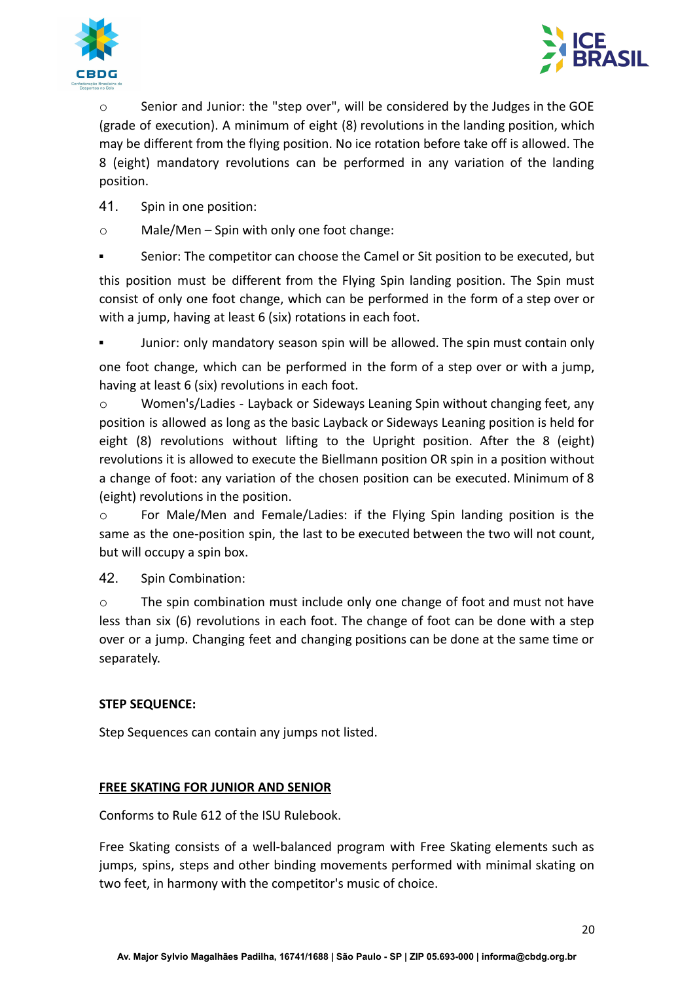



 $\circ$  Senior and Junior: the "step over", will be considered by the Judges in the GOE (grade of execution). A minimum of eight (8) revolutions in the landing position, which may be different from the flying position. No ice rotation before take off is allowed. The 8 (eight) mandatory revolutions can be performed in any variation of the landing position.

- 41. Spin in one position:
- o Male/Men Spin with only one foot change:
- Senior: The competitor can choose the Camel or Sit position to be executed, but

this position must be different from the Flying Spin landing position. The Spin must consist of only one foot change, which can be performed in the form of a step over or with a jump, having at least 6 (six) rotations in each foot.

Junior: only mandatory season spin will be allowed. The spin must contain only

one foot change, which can be performed in the form of a step over or with a jump, having at least 6 (six) revolutions in each foot.

o Women's/Ladies - Layback or Sideways Leaning Spin without changing feet, any position is allowed as long as the basic Layback or Sideways Leaning position is held for eight (8) revolutions without lifting to the Upright position. After the 8 (eight) revolutions it is allowed to execute the Biellmann position OR spin in a position without a change of foot: any variation of the chosen position can be executed. Minimum of 8 (eight) revolutions in the position.

o For Male/Men and Female/Ladies: if the Flying Spin landing position is the same as the one-position spin, the last to be executed between the two will not count, but will occupy a spin box.

42. Spin Combination:

o The spin combination must include only one change of foot and must not have less than six (6) revolutions in each foot. The change of foot can be done with a step over or a jump. Changing feet and changing positions can be done at the same time or separately.

#### **STEP SEQUENCE:**

Step Sequences can contain any jumps not listed.

#### **FREE SKATING FOR JUNIOR AND SENIOR**

Conforms to Rule 612 of the ISU Rulebook.

Free Skating consists of a well-balanced program with Free Skating elements such as jumps, spins, steps and other binding movements performed with minimal skating on two feet, in harmony with the competitor's music of choice.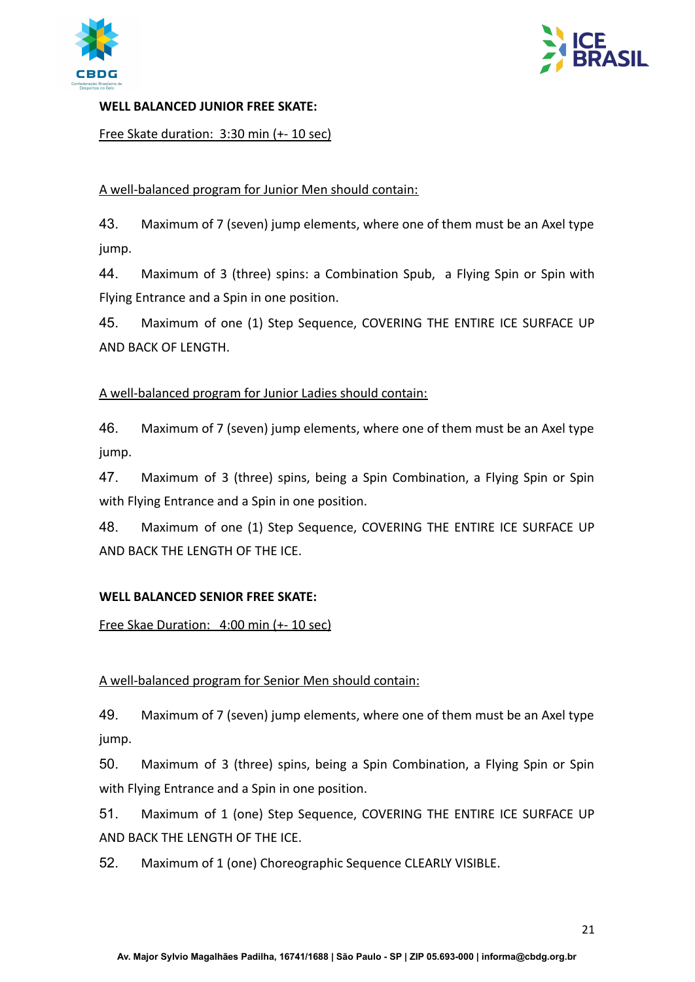



#### **WELL BALANCED JUNIOR FREE SKATE:**

Free Skate duration: 3:30 min (+- 10 sec)

#### A well-balanced program for Junior Men should contain:

43. Maximum of 7 (seven) jump elements, where one of them must be an Axel type jump.

44. Maximum of 3 (three) spins: a Combination Spub, a Flying Spin or Spin with Flying Entrance and a Spin in one position.

45. Maximum of one (1) Step Sequence, COVERING THE ENTIRE ICE SURFACE UP AND BACK OF LENGTH.

#### A well-balanced program for Junior Ladies should contain:

46. Maximum of 7 (seven) jump elements, where one of them must be an Axel type jump.

47. Maximum of 3 (three) spins, being a Spin Combination, a Flying Spin or Spin with Flying Entrance and a Spin in one position.

48. Maximum of one (1) Step Sequence, COVERING THE ENTIRE ICE SURFACE UP AND BACK THE LENGTH OF THE ICE.

#### **WELL BALANCED SENIOR FREE SKATE:**

Free Skae Duration: 4:00 min (+- 10 sec)

## A well-balanced program for Senior Men should contain:

49. Maximum of 7 (seven) jump elements, where one of them must be an Axel type jump.

50. Maximum of 3 (three) spins, being a Spin Combination, a Flying Spin or Spin with Flying Entrance and a Spin in one position.

51. Maximum of 1 (one) Step Sequence, COVERING THE ENTIRE ICE SURFACE UP AND BACK THE LENGTH OF THE ICE.

52. Maximum of 1 (one) Choreographic Sequence CLEARLY VISIBLE.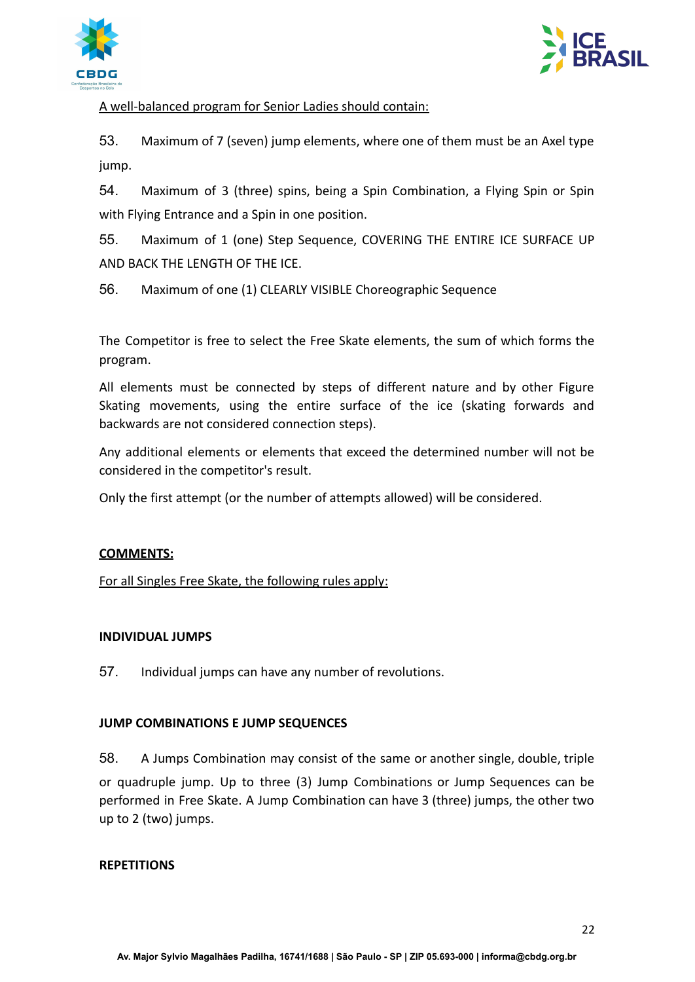



## A well-balanced program for Senior Ladies should contain:

53. Maximum of 7 (seven) jump elements, where one of them must be an Axel type jump.

54. Maximum of 3 (three) spins, being a Spin Combination, a Flying Spin or Spin with Flying Entrance and a Spin in one position.

55. Maximum of 1 (one) Step Sequence, COVERING THE ENTIRE ICE SURFACE UP AND BACK THE LENGTH OF THE ICE.

56. Maximum of one (1) CLEARLY VISIBLE Choreographic Sequence

The Competitor is free to select the Free Skate elements, the sum of which forms the program.

All elements must be connected by steps of different nature and by other Figure Skating movements, using the entire surface of the ice (skating forwards and backwards are not considered connection steps).

Any additional elements or elements that exceed the determined number will not be considered in the competitor's result.

Only the first attempt (or the number of attempts allowed) will be considered.

#### **COMMENTS:**

For all Singles Free Skate, the following rules apply:

#### **INDIVIDUAL JUMPS**

57. Individual jumps can have any number of revolutions.

#### **JUMP COMBINATIONS E JUMP SEQUENCES**

58. A Jumps Combination may consist of the same or another single, double, triple or quadruple jump. Up to three (3) Jump Combinations or Jump Sequences can be performed in Free Skate. A Jump Combination can have 3 (three) jumps, the other two up to 2 (two) jumps.

#### **REPETITIONS**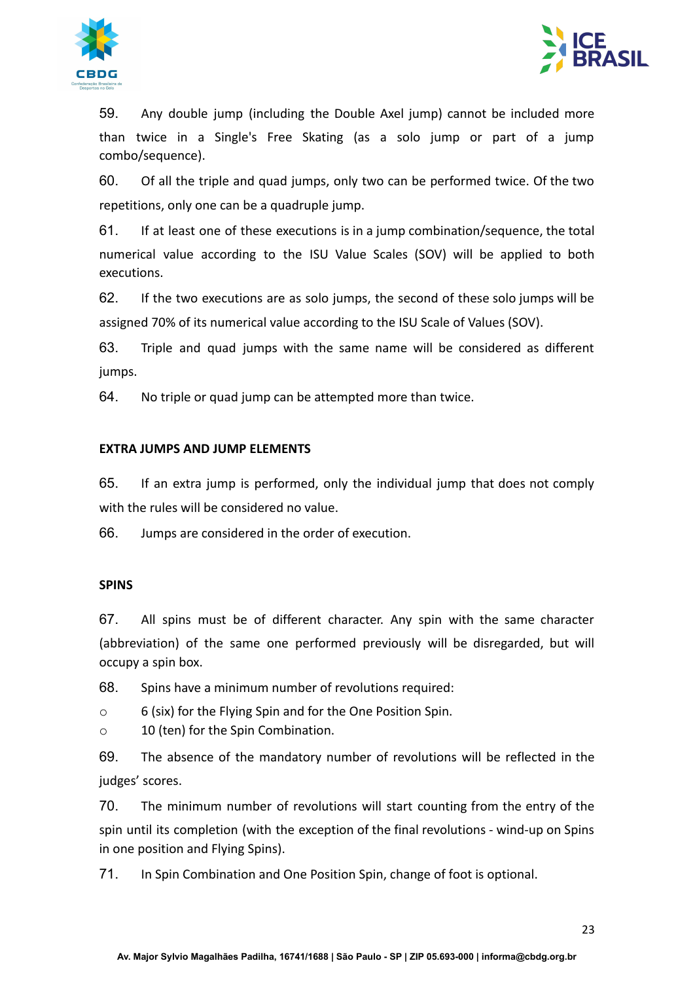



59. Any double jump (including the Double Axel jump) cannot be included more than twice in a Single's Free Skating (as a solo jump or part of a jump combo/sequence).

60. Of all the triple and quad jumps, only two can be performed twice. Of the two repetitions, only one can be a quadruple jump.

61. If at least one of these executions is in a jump combination/sequence, the total numerical value according to the ISU Value Scales (SOV) will be applied to both executions.

62. If the two executions are as solo jumps, the second of these solo jumps will be assigned 70% of its numerical value according to the ISU Scale of Values (SOV).

63. Triple and quad jumps with the same name will be considered as different jumps.

64. No triple or quad jump can be attempted more than twice.

## **EXTRA JUMPS AND JUMP ELEMENTS**

65. If an extra jump is performed, only the individual jump that does not comply with the rules will be considered no value.

66. Jumps are considered in the order of execution.

#### **SPINS**

67. All spins must be of different character. Any spin with the same character (abbreviation) of the same one performed previously will be disregarded, but will occupy a spin box.

68. Spins have a minimum number of revolutions required:

o 6 (six) for the Flying Spin and for the One Position Spin.

o 10 (ten) for the Spin Combination.

69. The absence of the mandatory number of revolutions will be reflected in the judges' scores.

70. The minimum number of revolutions will start counting from the entry of the spin until its completion (with the exception of the final revolutions - wind-up on Spins in one position and Flying Spins).

71. In Spin Combination and One Position Spin, change of foot is optional.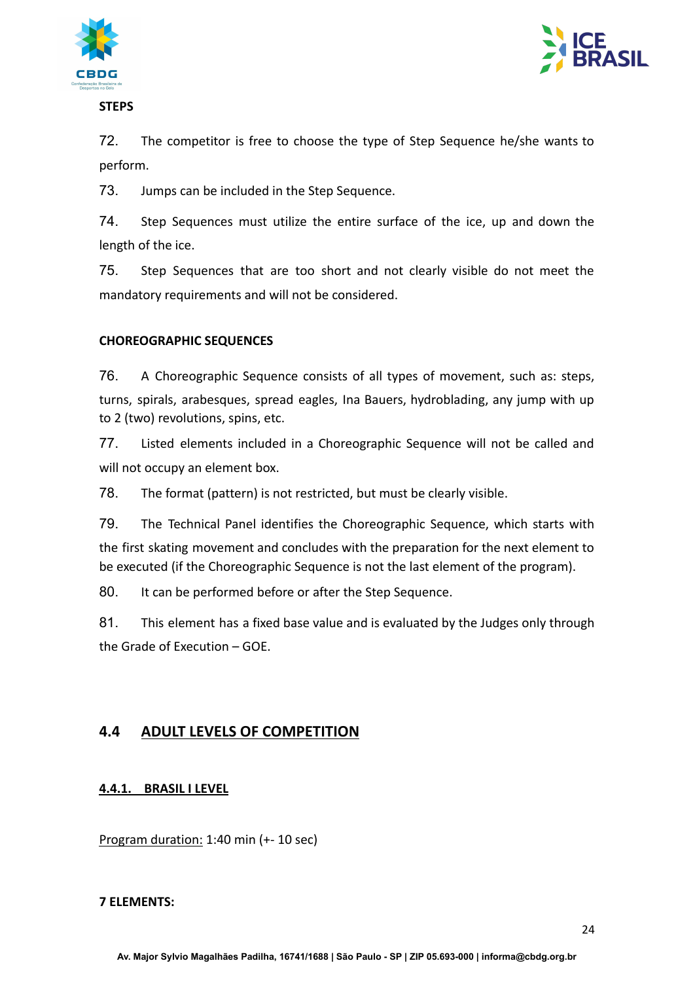



**STEPS**

72. The competitor is free to choose the type of Step Sequence he/she wants to perform.

73. Jumps can be included in the Step Sequence.

74. Step Sequences must utilize the entire surface of the ice, up and down the length of the ice.

75. Step Sequences that are too short and not clearly visible do not meet the mandatory requirements and will not be considered.

## **CHOREOGRAPHIC SEQUENCES**

76. A Choreographic Sequence consists of all types of movement, such as: steps, turns, spirals, arabesques, spread eagles, Ina Bauers, hydroblading, any jump with up to 2 (two) revolutions, spins, etc.

77. Listed elements included in a Choreographic Sequence will not be called and will not occupy an element box.

78. The format (pattern) is not restricted, but must be clearly visible.

79. The Technical Panel identifies the Choreographic Sequence, which starts with the first skating movement and concludes with the preparation for the next element to be executed (if the Choreographic Sequence is not the last element of the program).

80. It can be performed before or after the Step Sequence.

81. This element has a fixed base value and is evaluated by the Judges only through the Grade of Execution – GOE.

# <span id="page-23-1"></span><span id="page-23-0"></span>**4.4 ADULT LEVELS OF COMPETITION**

## **4.4.1. BRASIL I LEVEL**

Program duration: 1:40 min (+- 10 sec)

#### **7 ELEMENTS:**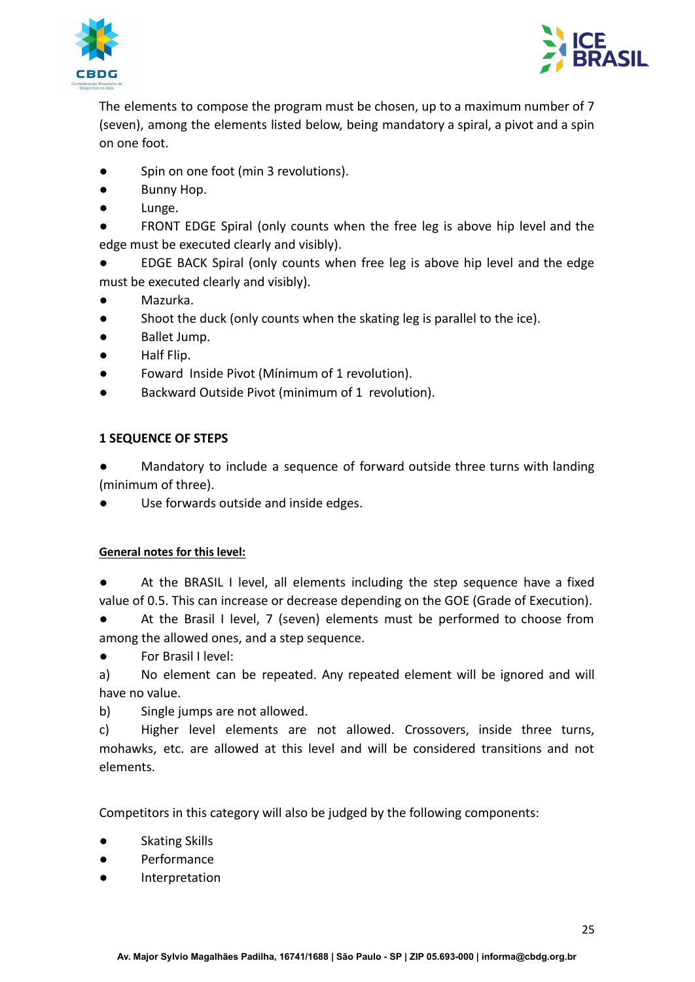



The elements to compose the program must be chosen, up to a maximum number of 7 (seven), among the elements listed below, being mandatory a spiral, a pivot and a spin on one foot.

- Spin on one foot (min 3 revolutions).
- Bunny Hop.
- Lunge.

FRONT EDGE Spiral (only counts when the free leg is above hip level and the edge must be executed clearly and visibly).

EDGE BACK Spiral (only counts when free leg is above hip level and the edge must be executed clearly and visibly).

- Mazurka.
- Shoot the duck (only counts when the skating leg is parallel to the ice).
- Ballet Jump.
- Half Flip.
- Foward Inside Pivot (Mínimum of 1 revolution).
- Backward Outside Pivot (minimum of 1 revolution).

## **1 SEQUENCE OF STEPS**

Mandatory to include a sequence of forward outside three turns with landing (minimum of three).

Use forwards outside and inside edges.

#### **General notes for this level:**

At the BRASIL I level, all elements including the step sequence have a fixed value of 0.5. This can increase or decrease depending on the GOE (Grade of Execution).

At the Brasil I level, 7 (seven) elements must be performed to choose from among the allowed ones, and a step sequence.

● For Brasil I level:

a) No element can be repeated. Any repeated element will be ignored and will have no value.

b) Single jumps are not allowed.

c) Higher level elements are not allowed. Crossovers, inside three turns, mohawks, etc. are allowed at this level and will be considered transitions and not elements.

Competitors in this category will also be judged by the following components:

- Skating Skills
- Performance
- Interpretation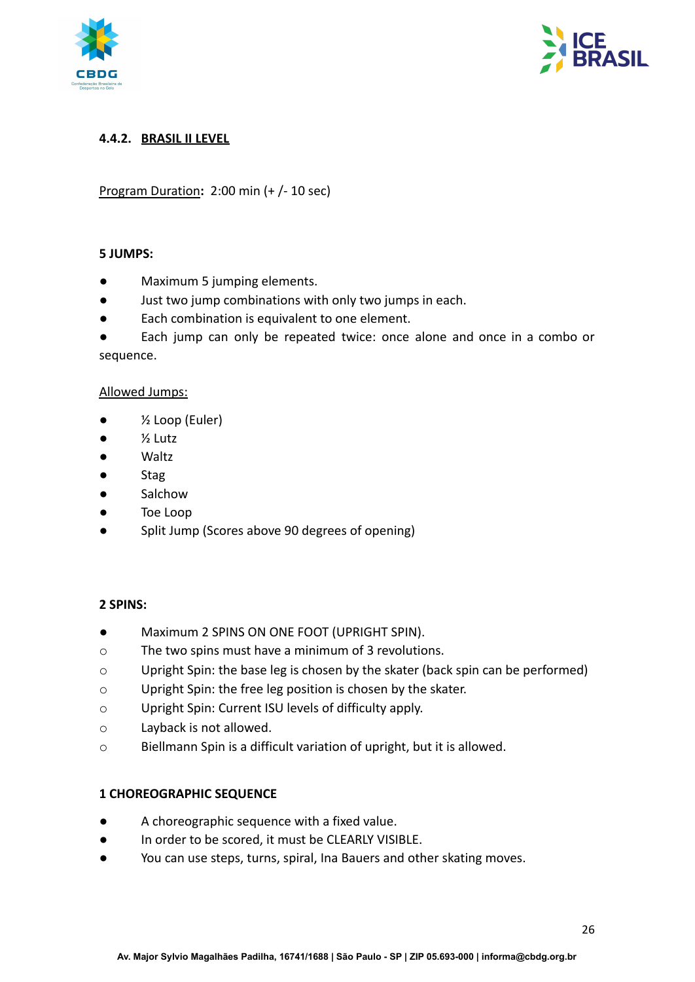



## <span id="page-25-0"></span>**4.4.2. BRASIL II LEVEL**

Program Duration**:** 2:00 min (+ /- 10 sec)

## **5 JUMPS:**

- Maximum 5 jumping elements.
- Just two jump combinations with only two jumps in each.
- Each combination is equivalent to one element.

Each jump can only be repeated twice: once alone and once in a combo or sequence.

#### Allowed Jumps:

- $\bullet$   $\frac{1}{2}$  Loop (Euler)
- $\bullet$   $\frac{1}{2}$  Lutz
- Waltz
- Stag
- Salchow
- Toe Loop
- Split Jump (Scores above 90 degrees of opening)

#### **2 SPINS:**

- Maximum 2 SPINS ON ONE FOOT (UPRIGHT SPIN).
- o The two spins must have a minimum of 3 revolutions.
- o Upright Spin: the base leg is chosen by the skater (back spin can be performed)
- o Upright Spin: the free leg position is chosen by the skater.
- o Upright Spin: Current ISU levels of difficulty apply.
- o Layback is not allowed.
- o Biellmann Spin is a difficult variation of upright, but it is allowed.

#### **1 CHOREOGRAPHIC SEQUENCE**

- A choreographic sequence with a fixed value.
- In order to be scored, it must be CLEARLY VISIBLE.
- You can use steps, turns, spiral, Ina Bauers and other skating moves.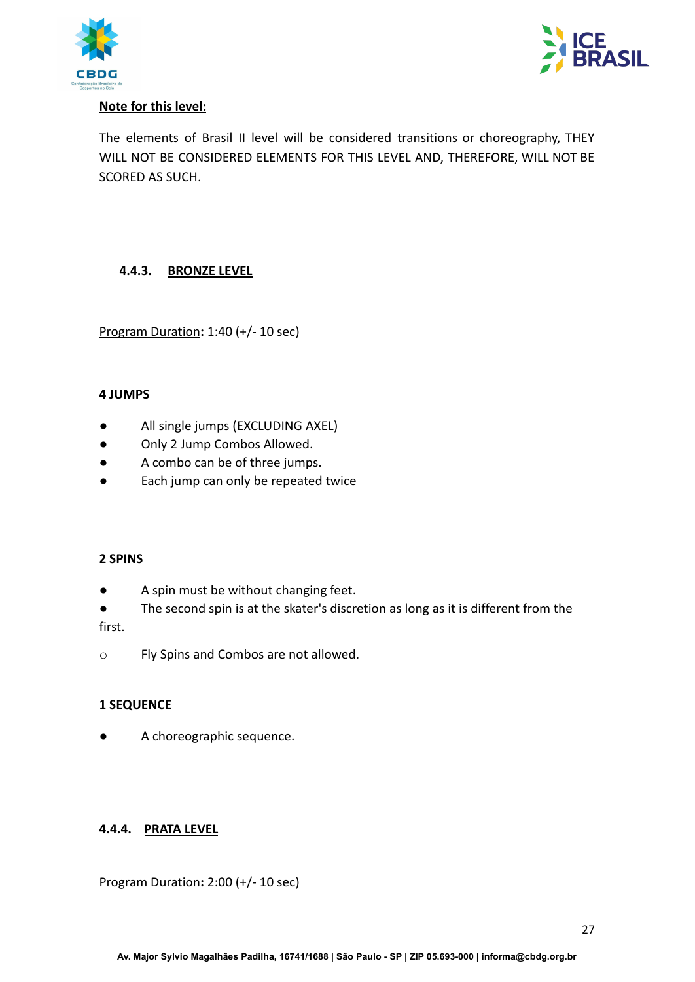



## **Note for this level:**

The elements of Brasil II level will be considered transitions or choreography, THEY WILL NOT BE CONSIDERED ELEMENTS FOR THIS LEVEL AND, THEREFORE, WILL NOT BE SCORED AS SUCH.

## **4.4.3. BRONZE LEVEL**

Program Duration**:** 1:40 (+/- 10 sec)

#### **4 JUMPS**

- All single jumps (EXCLUDING AXEL)
- Only 2 Jump Combos Allowed.
- A combo can be of three jumps.
- Each jump can only be repeated twice

#### **2 SPINS**

- A spin must be without changing feet.
- The second spin is at the skater's discretion as long as it is different from the

first.

o Fly Spins and Combos are not allowed.

## **1 SEQUENCE**

A choreographic sequence.

## <span id="page-26-0"></span>**4.4.4. PRATA LEVEL**

Program Duration**:** 2:00 (+/- 10 sec)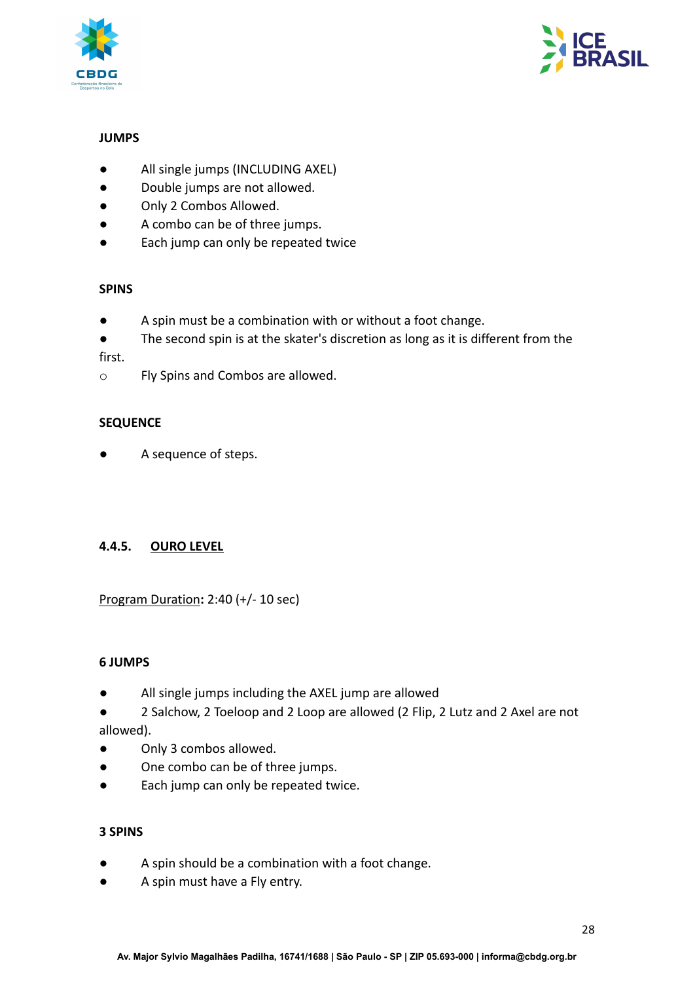



## **JUMPS**

- All single jumps (INCLUDING AXEL)
- Double jumps are not allowed.
- Only 2 Combos Allowed.
- A combo can be of three jumps.
- Each jump can only be repeated twice

#### **SPINS**

- A spin must be a combination with or without a foot change.
- The second spin is at the skater's discretion as long as it is different from the

#### first.

o Fly Spins and Combos are allowed.

#### **SEQUENCE**

A sequence of steps.

## <span id="page-27-0"></span>**4.4.5. OURO LEVEL**

## Program Duration**:** 2:40 (+/- 10 sec)

#### **6 JUMPS**

- All single jumps including the AXEL jump are allowed
- 2 Salchow, 2 Toeloop and 2 Loop are allowed (2 Flip, 2 Lutz and 2 Axel are not allowed).
- Only 3 combos allowed.
- One combo can be of three jumps.
- Each jump can only be repeated twice.

#### **3 SPINS**

- A spin should be a combination with a foot change.
- A spin must have a Fly entry.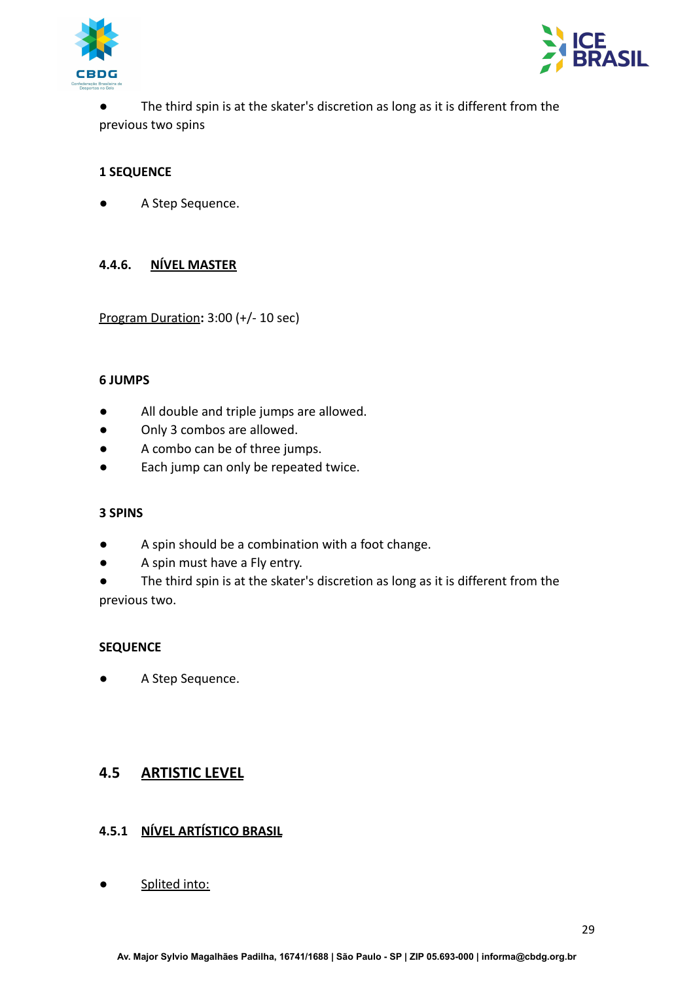



The third spin is at the skater's discretion as long as it is different from the previous two spins

## **1 SEQUENCE**

<span id="page-28-0"></span>A Step Sequence.

## **4.4.6. NÍVEL MASTER**

Program Duration**:** 3:00 (+/- 10 sec)

#### **6 JUMPS**

- All double and triple jumps are allowed.
- Only 3 combos are allowed.
- A combo can be of three jumps.
- Each jump can only be repeated twice.

#### **3 SPINS**

- A spin should be a combination with a foot change.
- A spin must have a Fly entry.
- The third spin is at the skater's discretion as long as it is different from the previous two.

#### **SEQUENCE**

● A Step Sequence.

# <span id="page-28-2"></span><span id="page-28-1"></span>**4.5 ARTISTIC LEVEL**

## **4.5.1 NÍVEL ARTÍSTICO BRASIL**

● Splited into: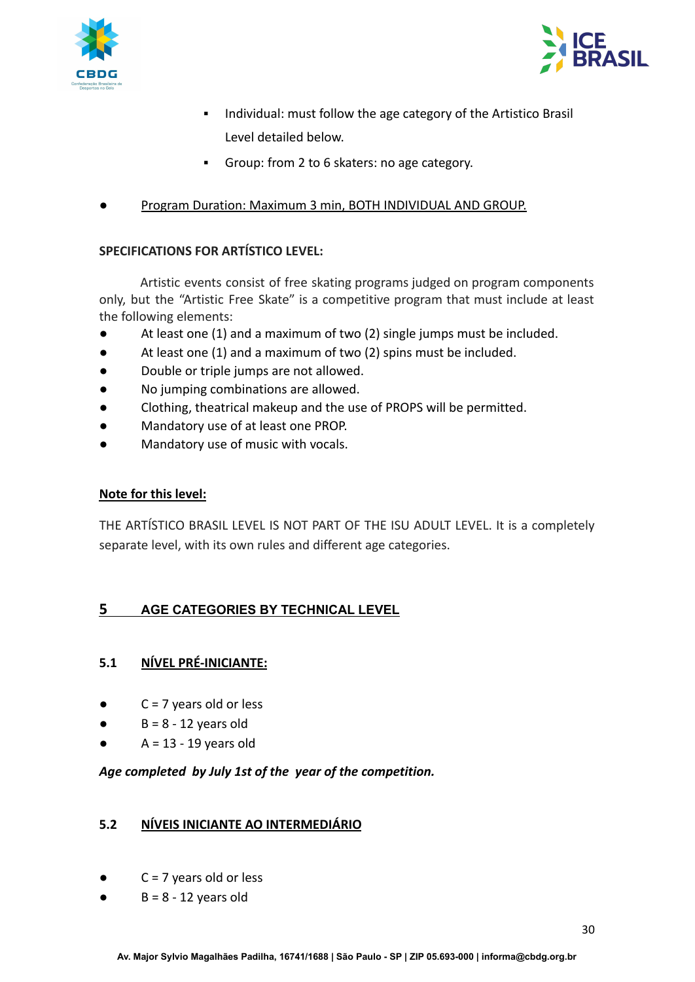



- **.** Individual: must follow the age category of the Artistico Brasil Level detailed below.
- Group: from 2 to 6 skaters: no age category.
- Program Duration: Maximum 3 min, BOTH INDIVIDUAL AND GROUP.

## **SPECIFICATIONS FOR ARTÍSTICO LEVEL:**

Artistic events consist of free skating programs judged on program components only, but the "Artistic Free Skate" is a competitive program that must include at least the following elements:

- At least one (1) and a maximum of two (2) single jumps must be included.
- At least one (1) and a maximum of two (2) spins must be included.
- Double or triple jumps are not allowed.
- No jumping combinations are allowed.
- Clothing, theatrical makeup and the use of PROPS will be permitted.
- Mandatory use of at least one PROP.
- Mandatory use of music with vocals.

#### **Note for this level:**

THE ARTÍSTICO BRASIL LEVEL IS NOT PART OF THE ISU ADULT LEVEL. It is a completely separate level, with its own rules and different age categories.

# <span id="page-29-1"></span><span id="page-29-0"></span>**5 AGE CATEGORIES BY TECHNICAL LEVEL**

## **5.1 NÍVEL PRÉ-INICIANTE:**

- $C = 7$  years old or less
- $\bullet$  B = 8 12 years old
- $A = 13 19$  years old

## <span id="page-29-2"></span>*Age completed by July 1st of the year of the competition.*

## **5.2 NÍVEIS INICIANTE AO INTERMEDIÁRIO**

- $C = 7$  years old or less
- $\bullet$  B = 8 12 years old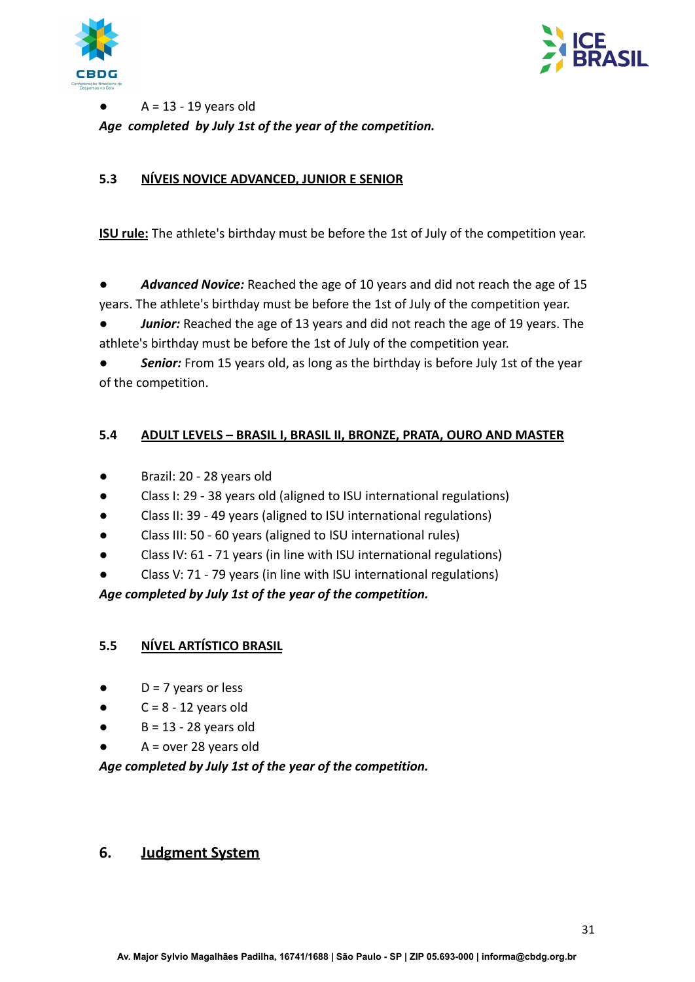



 $A = 13 - 19$  years old *Age completed by July 1st of the year of the competition.*

## **5.3 NÍVEIS NOVICE ADVANCED, JUNIOR E SENIOR**

**ISU rule:** The athlete's birthday must be before the 1st of July of the competition year.

● *Advanced Novice:* Reached the age of 10 years and did not reach the age of 15 years. The athlete's birthday must be before the 1st of July of the competition year.

Junior: Reached the age of 13 years and did not reach the age of 19 years. The athlete's birthday must be before the 1st of July of the competition year.

**Senior:** From 15 years old, as long as the birthday is before July 1st of the year of the competition.

## <span id="page-30-0"></span>**5.4 ADULT LEVELS – BRASIL I, BRASIL II, BRONZE, PRATA, OURO AND MASTER**

- Brazil: 20 28 years old
- Class I: 29 38 years old (aligned to ISU international regulations)
- Class II: 39 49 years (aligned to ISU international regulations)
- Class III: 50 60 years (aligned to ISU international rules)
- Class IV: 61 71 years (in line with ISU international regulations)
- Class V: 71 79 years (in line with ISU international regulations)

*Age completed by July 1st of the year of the competition.*

## **5.5 NÍVEL ARTÍSTICO BRASIL**

- $\bullet$  D = 7 years or less
- $C = 8 12$  years old
- $\bullet$  B = 13 28 years old
- $A = over 28 years old$

*Age completed by July 1st of the year of the competition.*

# <span id="page-30-1"></span>**6. Judgment System**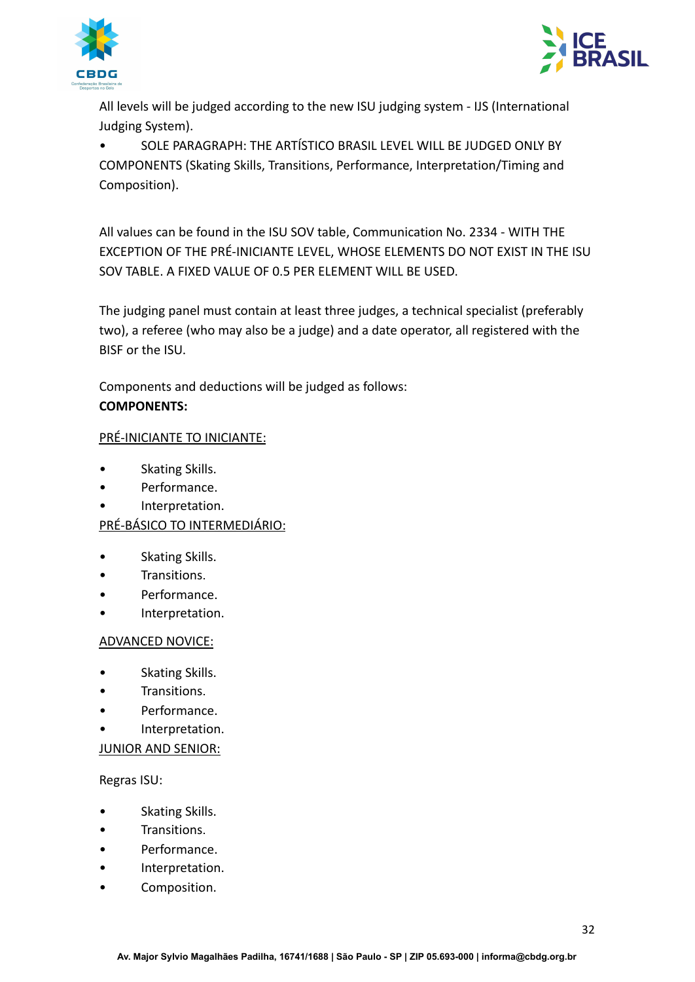



All levels will be judged according to the new ISU judging system - IJS (International Judging System).

• SOLE PARAGRAPH: THE ARTÍSTICO BRASIL LEVEL WILL BE JUDGED ONLY BY COMPONENTS (Skating Skills, Transitions, Performance, Interpretation/Timing and Composition).

All values can be found in the ISU SOV table, Communication No. 2334 - WITH THE EXCEPTION OF THE PRÉ-INICIANTE LEVEL, WHOSE ELEMENTS DO NOT EXIST IN THE ISU SOV TABLE. A FIXED VALUE OF 0.5 PER ELEMENT WILL BE USED.

The judging panel must contain at least three judges, a technical specialist (preferably two), a referee (who may also be a judge) and a date operator, all registered with the BISF or the ISU.

Components and deductions will be judged as follows: **COMPONENTS:**

## PRÉ-INICIANTE TO INICIANTE:

- Skating Skills.
- Performance.
- Interpretation.

# PRÉ-BÁSICO TO INTERMEDIÁRIO:

- Skating Skills.
- Transitions.
- Performance.
- Interpretation.

## ADVANCED NOVICE:

- Skating Skills.
- Transitions.
- Performance.
- Interpretation.

## JUNIOR AND SENIOR:

Regras ISU:

- Skating Skills.
- Transitions.
- Performance.
- Interpretation.
- Composition.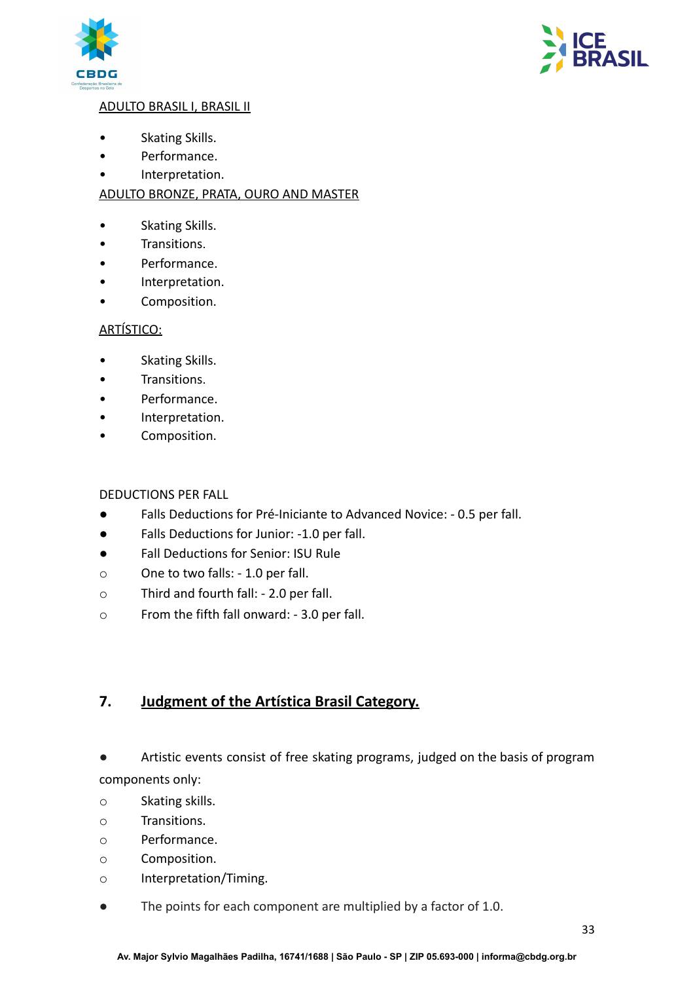



## ADULTO BRASIL I, BRASIL II

- Skating Skills.
- Performance.
- Interpretation.

## ADULTO BRONZE, PRATA, OURO AND MASTER

- Skating Skills.
- Transitions.
- Performance.
- Interpretation.
- Composition.

## ARTÍSTICO:

- Skating Skills.
- Transitions.
- Performance.
- Interpretation.
- Composition.

## DEDUCTIONS PER FALL

- Falls Deductions for Pré-Iniciante to Advanced Novice: 0.5 per fall.
- Falls Deductions for Junior: -1.0 per fall.
- Fall Deductions for Senior: ISU Rule
- o One to two falls: 1.0 per fall.
- o Third and fourth fall: 2.0 per fall.
- o From the fifth fall onward: 3.0 per fall.

# <span id="page-32-0"></span>**7. Judgment of the Artística Brasil Category.**

- Artistic events consist of free skating programs, judged on the basis of program components only:
- o Skating skills.
- o Transitions.
- o Performance.
- o Composition.
- o Interpretation/Timing.
- The points for each component are multiplied by a factor of 1.0.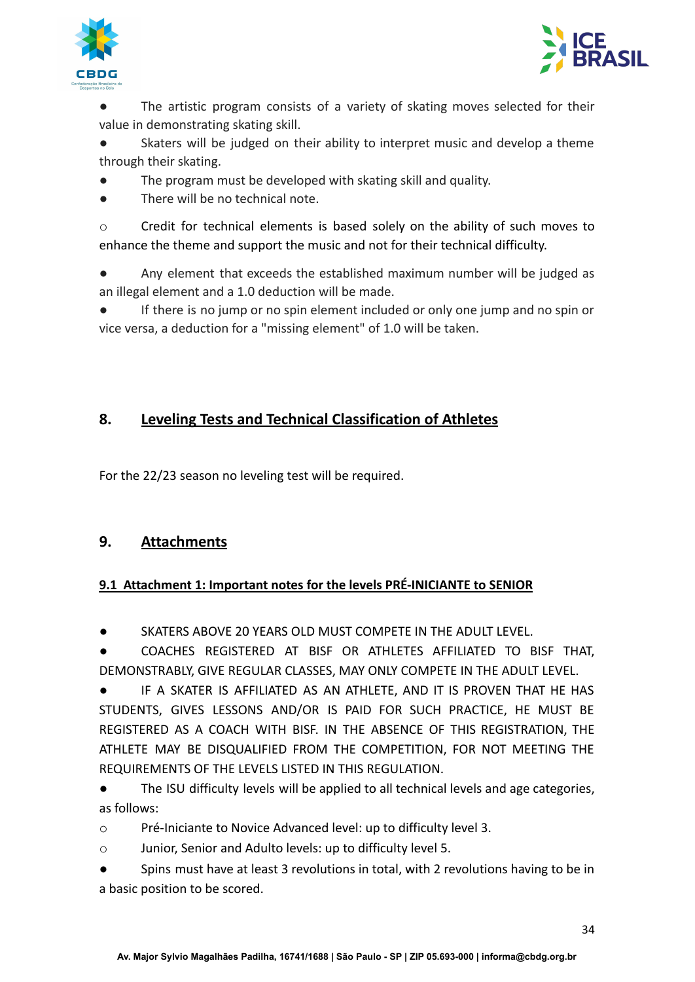



The artistic program consists of a variety of skating moves selected for their value in demonstrating skating skill.

Skaters will be judged on their ability to interpret music and develop a theme through their skating.

- The program must be developed with skating skill and quality.
- There will be no technical note.

o Credit for technical elements is based solely on the ability of such moves to enhance the theme and support the music and not for their technical difficulty.

Any element that exceeds the established maximum number will be judged as an illegal element and a 1.0 deduction will be made.

If there is no jump or no spin element included or only one jump and no spin or vice versa, a deduction for a "missing element" of 1.0 will be taken.

# <span id="page-33-0"></span>**8. Leveling Tests and Technical Classification of Athletes**

<span id="page-33-1"></span>For the 22/23 season no leveling test will be required.

# **9. Attachments**

# <span id="page-33-2"></span>**9.1 Attachment 1: Important notes for the levels PRÉ-INICIANTE to SENIOR**

SKATERS ABOVE 20 YEARS OLD MUST COMPETE IN THE ADULT LEVEL.

COACHES REGISTERED AT BISF OR ATHLETES AFFILIATED TO BISF THAT, DEMONSTRABLY, GIVE REGULAR CLASSES, MAY ONLY COMPETE IN THE ADULT LEVEL.

IF A SKATER IS AFFILIATED AS AN ATHLETE, AND IT IS PROVEN THAT HE HAS STUDENTS, GIVES LESSONS AND/OR IS PAID FOR SUCH PRACTICE, HE MUST BE REGISTERED AS A COACH WITH BISF. IN THE ABSENCE OF THIS REGISTRATION, THE ATHLETE MAY BE DISQUALIFIED FROM THE COMPETITION, FOR NOT MEETING THE REQUIREMENTS OF THE LEVELS LISTED IN THIS REGULATION.

● The ISU difficulty levels will be applied to all technical levels and age categories, as follows:

o Pré-Iniciante to Novice Advanced level: up to difficulty level 3.

o Junior, Senior and Adulto levels: up to difficulty level 5.

● Spins must have at least 3 revolutions in total, with 2 revolutions having to be in a basic position to be scored.